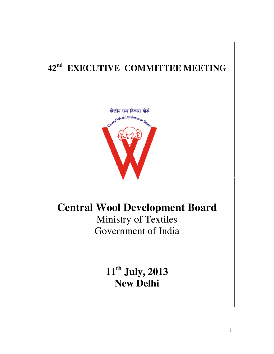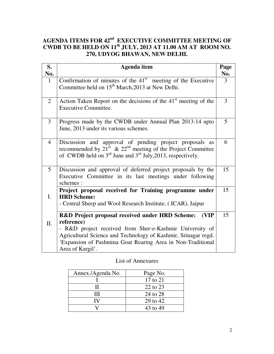## **AGENDA ITEMS FOR 42nd EXECUTIVE COMMITTEE MEETING OF CWDB TO BE HELD ON 11th JULY, 2013 AT 11.00 AM AT ROOM NO. 270, UDYOG BHAWAN, NEW DELHI.**

| S.<br>No.      | <b>Agenda</b> item                                                                                                                                                                                                          | Page<br>No. |
|----------------|-----------------------------------------------------------------------------------------------------------------------------------------------------------------------------------------------------------------------------|-------------|
| 1              | Confirmation of minutes of the $41st$ meeting of the Executive<br>Committee held on 15 <sup>th</sup> March, 2013 at New Delhi.                                                                                              | 3           |
| 2              | Action Taken Report on the decisions of the $41st$ meeting of the<br>Executive Committee.                                                                                                                                   | 3           |
| 3              | Progress made by the CWDB under Annual Plan 2013-14 upto<br>June, 2013 under its various schemes.                                                                                                                           | 5           |
| $\overline{4}$ | Discussion and approval of pending project proposals as<br>recommended by $21st \& 22nd meeting of the Project Committee$<br>of CWDB held on $3^{rd}$ June and $3^{rd}$ July, 2013, respectively.                           | 6           |
| 5              | Discussion and approval of deferred project proposals by the<br>Executive Committee in its last meetings under following<br>schemes:                                                                                        | 15          |
| $\mathbf{I}$ . | Project proposal received for Training programme under<br><b>HRD Scheme:</b><br>- Central Sheep and Wool Research Institute, (ICAR), Jaipur                                                                                 | 15          |
|                | R&D Project proposal received under HRD Scheme:<br>(VIP                                                                                                                                                                     | 15          |
| Π.             | reference)<br>- R&D project received from Sher-e-Kashmir University of<br>Agricultural Science and Technology of Kashmir, Srinagar regd.<br>'Expansion of Pashmina Goat Rearing Area in Non-Traditional<br>Area of Kargil'. |             |

## List of Annexures

| Annex./Agenda No. | Page No.     |
|-------------------|--------------|
|                   | $17$ to $21$ |
| н                 | 22 to 23     |
| Ш                 | 24 to 28     |
| IV                | 29 to 42     |
|                   | 43 to 49     |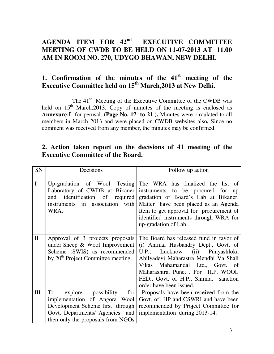# **AGENDA ITEM FOR 42nd EXECUTIVE COMMITTEE MEETING OF CWDB TO BE HELD ON 11-07-2013 AT 11.00 AM IN ROOM NO. 270, UDYGO BHAWAN, NEW DELHI.**

# **1. Confirmation of the minutes of the 41st meeting of the**  Executive Committee held on 15<sup>th</sup> March, 2013 at New Delhi.

The 41<sup>st</sup> Meeting of the Executive Committee of the CWDB was held on  $15<sup>th</sup>$  March, 2013. Copy of minutes of the meeting is enclosed as **Annexure-I** for perusal. **(Page No. 17 to 21 ).** Minutes were circulated to all members in March 2013 and were placed on CWDB websites also**.** Since no comment was received from any member, the minutes may be confirmed.

| SN             | Decisions                                                                                                                                                                                  | Follow up action                                                                                                                                                                                                                                                                                        |  |  |  |
|----------------|--------------------------------------------------------------------------------------------------------------------------------------------------------------------------------------------|---------------------------------------------------------------------------------------------------------------------------------------------------------------------------------------------------------------------------------------------------------------------------------------------------------|--|--|--|
| $\overline{I}$ | Up-gradation of Wool Testing<br>Laboratory of CWDB at Bikaner<br>identification of required<br>and<br>instruments in association with<br>WRA.                                              | The WRA has finalized the list of<br>instruments to be procured for up<br>gradation of Board's Lab at Bikaner.<br>Matter have been placed as an Agenda<br>Item to get approval for procurement of<br>identified instruments through WRA for<br>up-gradation of Lab.                                     |  |  |  |
| $\mathbf{I}$   | Approval of 3 projects proposals<br>under Sheep $\&$ Wool Improvement<br>Scheme (SWIS) as recommended<br>by 20 <sup>th</sup> Project Committee meeting.                                    | The Board has released fund in favor of<br>(i) Animal Husbandry Dept., Govt. of<br>U.P., Lucknow (ii) Punyashloka<br>Ahilyadevi Maharastra Mendhi Va Shali<br>Vikas Mahamandal Ltd., Govt. of<br>Maharashtra, Pune. . For H.P. WOOL<br>FED., Govt. of H.P., Shimla, sanction<br>order have been issued. |  |  |  |
| III            | To<br>explore possibility<br>for <sub>l</sub><br>implementation of Angora Wool<br>Development Scheme first through<br>Govt. Departments/ Agencies and<br>then only the proposals from NGOs | Proposals have been received from the<br>Govt. of HP and CSWRI and have been<br>recommended by Project Committee for<br>implementation during 2013-14.                                                                                                                                                  |  |  |  |

# **2. Action taken report on the decisions of 41 meeting of the Executive Committee of the Board.**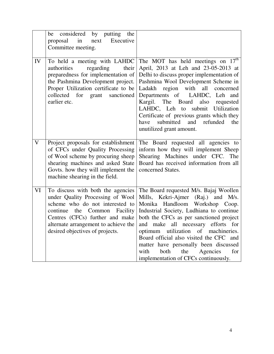|                         | be considered by putting the<br>proposal<br>$\sin$<br>next<br>Executive<br>Committee meeting.                                                                                                                                                                   |                                                                                                                                                                                                                                                                                                                                                                                                                                                                |
|-------------------------|-----------------------------------------------------------------------------------------------------------------------------------------------------------------------------------------------------------------------------------------------------------------|----------------------------------------------------------------------------------------------------------------------------------------------------------------------------------------------------------------------------------------------------------------------------------------------------------------------------------------------------------------------------------------------------------------------------------------------------------------|
| IV                      | To held a meeting with LAHDC<br>authorities<br>regarding<br>their<br>preparedness for implementation of<br>the Pashmina Development project.<br>Proper Utilization certificate to be<br>collected for grant<br>sanctioned<br>earlier etc.                       | The MOT has held meetings on 17 <sup>th</sup><br>April, 2013 at Leh and 23-05-2013 at<br>Delhi to discuss proper implementation of<br>Pashmina Wool Development Scheme in<br>region with all concerned<br>Ladakh<br>Departments of LAHDC, Leh and<br>Kargil. The Board<br>also<br>requested<br>LAHDC, Leh to submit Utilization<br>Certificate of previous grants which they<br>submitted<br>and refunded<br>the<br>have<br>unutilized grant amount.           |
| $\overline{\mathbf{V}}$ | Project proposals for establishment<br>of CFCs under Quality Processing<br>of Wool scheme by procuring sheep<br>shearing machines and asked State<br>Govts. how they will implement the<br>machine shearing in the field.                                       | The Board requested all agencies to<br>inform how they will implement Sheep<br>Shearing Machines under CFC. The<br>Board has received information from all<br>concerned States.                                                                                                                                                                                                                                                                                |
| VI                      | To discuss with both the agencies<br>under Quality Processing of Wool<br>scheme who do not interested to<br>continue<br>the<br>Common<br>Facility<br>Centres (CFCs) further and make<br>alternate arrangement to achieve the<br>desired objectives of projects. | The Board requested M/s. Bajaj Woollen<br>Mills, Kekri-Ajmer (Raj.) and<br>M/s.<br>Monika Handloom Workshop Coop.<br>Industrial Society, Ludhiana to continue<br>both the CFCs as per sanctioned project<br>make all necessary efforts for<br>and<br>optimum utilization of machineries.<br>Board official also visited the CFC and<br>matter have personally been discussed<br>with<br>Agencies<br>both<br>the<br>for<br>implementation of CFCs continuously. |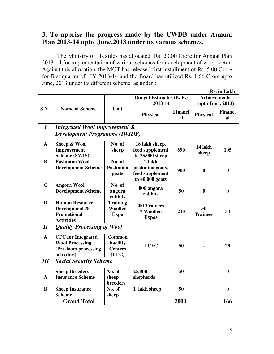# **3. To apprise the progress made by the CWDB under Annual Plan 2013-14 upto June,2013 under its various schemes.**

 The Ministry of Textiles has allocated Rs. 20.00 Crore for Annual Plan 2013-14 for implementation of various schemes for development of wool sector. Against this allocation, the MOT has released first installment of Rs. 5.00 Crore for first quarter of FY 2013-14 and the Board has utilized Rs. 1.66 Crore upto June, 2013 under its different scheme, as under :

|                            |                                          |                   |                                    |                      |                       | (Rs. in Lakh)    |
|----------------------------|------------------------------------------|-------------------|------------------------------------|----------------------|-----------------------|------------------|
|                            |                                          |                   | <b>Budget Estimates (B. E.)</b>    | <b>Achievements</b>  |                       |                  |
|                            |                                          |                   | 2013-14                            | (upto June, 2013)    |                       |                  |
| SN                         | <b>Name of Scheme</b>                    | Unit              | <b>Physical</b>                    | <b>Financi</b><br>al | <b>Physical</b>       | Financi<br>al    |
| $\boldsymbol{I}$           | <b>Integrated Wool Improvement &amp;</b> |                   |                                    |                      |                       |                  |
|                            | <b>Development Programme (IWIDP)</b>     |                   |                                    |                      |                       |                  |
| $\mathbf{A}$               | Sheep & Wool                             | No. of            | 18 lakh sheep,                     |                      | 14 lakh               |                  |
|                            | Improvement<br>Scheme (SWIS)             | sheep             | feed supplement<br>to 75,000 sheep | 690                  | sheep                 | 105              |
| $\bf{B}$                   | Pashmina Wool                            | No. of            | 2 lakh                             |                      |                       |                  |
|                            | <b>Development Scheme</b>                | Pashmina          | pashmina goats,                    | 900                  | $\boldsymbol{0}$      | $\bf{0}$         |
|                            |                                          | goats             | feed supplement                    |                      |                       |                  |
|                            |                                          |                   | to $40,000$ goats                  |                      |                       |                  |
| $\mathbf C$                | <b>Angora Wool</b>                       | No. of            | 800 angora                         |                      |                       |                  |
|                            | <b>Development Scheme</b>                | angora<br>rabbits | rabbits                            | 50                   | $\bf{0}$              | $\boldsymbol{0}$ |
| D                          | <b>Human Resource</b>                    | Training,         | 200 Trainees,                      | 210                  | 50<br><b>Trainees</b> | 33               |
|                            | Development &                            | Woollen           | 7 Woollen                          |                      |                       |                  |
|                            | <b>Promotional</b>                       | <b>Expo</b>       | <b>Expos</b>                       |                      |                       |                  |
|                            | <b>Activities</b>                        |                   |                                    |                      |                       |                  |
| $\boldsymbol{\mathit{II}}$ | <b>Quality Processing of Wool</b>        |                   |                                    |                      |                       |                  |
| $\mathbf{A}$               | <b>CFC</b> for Integrated                | <b>Common</b>     |                                    |                      |                       |                  |
|                            | <b>Wool Processing</b>                   | <b>Facility</b>   | 1 CFC                              | 50                   |                       | 28               |
|                            | (Pre-loom processing                     | <b>Centres</b>    |                                    |                      |                       |                  |
|                            | activities)                              | (CFC)             |                                    |                      |                       |                  |
| III                        | <b>Social Security Scheme</b>            |                   |                                    |                      |                       |                  |
|                            | <b>Sheep Breeders</b>                    | No. of            | 25,000                             | 50                   |                       | $\bf{0}$         |
| A                          | <b>Insurance Scheme</b>                  | sheep             | shepherds                          |                      |                       |                  |
|                            |                                          | breeders          |                                    |                      |                       |                  |
| $\bf{B}$                   | <b>Sheep Insurance</b>                   | No. of            | 1 lakh sheep                       | 50                   |                       | $\bf{0}$         |
|                            | <b>Scheme</b>                            | sheep             |                                    |                      |                       |                  |
|                            | <b>Grand Total</b>                       |                   |                                    | 2000                 |                       | 166              |

5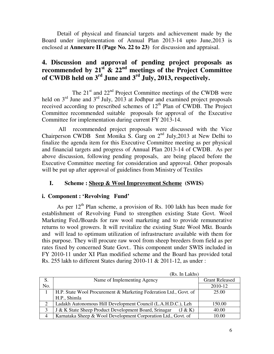Detail of physical and financial targets and achievement made by the Board under implementation of Annual Plan 2013-14 upto June,2013 is enclosed at **Annexure II (Page No. 22 to 23)** for discussion and appraisal.

# **4. Discussion and approval of pending project proposals as recommended by 21st & 22nd meetings of the Project Committee of CWDB held on 3rd June and 3rd July, 2013, respectively.**

The  $21<sup>st</sup>$  and  $22<sup>nd</sup>$  Project Committee meetings of the CWDB were held on  $3<sup>rd</sup>$  June and  $3<sup>rd</sup>$  July, 2013 at Jodhpur and examined project proposals received according to prescribed schemes of  $12<sup>th</sup>$  Plan of CWDB. The Project Committee recommended suitable proposals for approval of the Executive Committee for implementation during current FY 2013-14.

 All recommended project proposals were discussed with the Vice Chairperson CWDB Smt Monika S. Garg on  $2<sup>nd</sup>$  July, 2013 at New Delhi to finalize the agenda item for this Executive Committee meeting as per physical and financial targets and progress of Annual Plan 2013-14 of CWDB. As per above discussion, following pending proposals, are being placed before the Executive Committee meeting for consideration and approval. Other proposals will be put up after approval of guidelines from Ministry of Textiles

#### **I. Scheme : Sheep & Wool Improvement Scheme (SWIS)**

#### **i. Component : 'Revolving Fund'**

As per  $12<sup>th</sup>$  Plan scheme, a provision of Rs. 100 lakh has been made for establishment of Revolving Fund to strengthen existing State Govt. Wool Marketing Fed./Boards for raw wool marketing and to provide remunerative returns to wool growers. It will revitalize the existing State Wool Mkt. Boards and will lead to optimum utilization of infrastructure available with them for this purpose. They will procure raw wool from sheep breeders from field as per rates fixed by concerned State Govt.. This component under SWIS included in FY 2010-11 under XI Plan modified scheme and the Board has provided total Rs. 255 lakh to different States during 2010-11 & 2011-12, as under :

|     | нлэ. ш цалпэ                                                      |                       |
|-----|-------------------------------------------------------------------|-----------------------|
| S.  | Name of Implementing Agency                                       | <b>Grant Released</b> |
| No. |                                                                   | 2010-12               |
|     | H.P. State Wool Procurement & Marketing Federation Ltd., Govt. of | 25.00                 |
|     | H.P., Shimla                                                      |                       |
| 2   | Ladakh Autonomous Hill Development Council (L.A.H.D.C.), Leh      | 150.00                |
| 3   | J & K State Sheep Product Development Board, Srinagar<br>(J & K)  | 40.00                 |
| 4   | Karnataka Sheep & Wool Development Corporation Ltd., Govt. of     | 10.00                 |

 $(D<sub>e</sub>$  In Lakhe)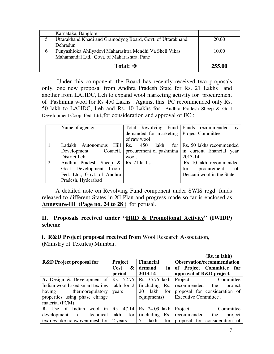|              | Karnataka, Banglore                                          |        |
|--------------|--------------------------------------------------------------|--------|
|              | Uttarakhand Khadi and Gramodyog Board, Govt. of Uttarakhand, | 20.00  |
|              | Dehradun                                                     |        |
| <sub>0</sub> | Punyashloka Ahilyadevi Maharashtra Mendhi Va Sheli Vikas     | 10.00  |
|              | Mahamandal Ltd., Govt. of Maharashtra, Pune                  |        |
|              | Total: $\rightarrow$                                         | 255.00 |

 Under this component, the Board has recently received two proposals only, one new proposal from Andhra Pradesh State for Rs. 21 Lakhs and another from LAHDC, Leh to expand wool marketing activity for procurement of Pashmina wool for Rs 450 Lakhs . Against this PC recommended only Rs. 50 lakh to LAHDC, Leh and Rs. 10 Lakhs for Andhra Pradesh Sheep & Goat Development Coop. Fed. Ltd.,for consideration and approval of EC :

|   | Name of agency                                                                   | demanded for marketing   Project Committee | Total Revolving Fund Funds recommended by |
|---|----------------------------------------------------------------------------------|--------------------------------------------|-------------------------------------------|
|   |                                                                                  | of raw wool                                |                                           |
|   | Ladakh Autonomous Hill $\vert$ Rs. 450 lakh for $\vert$ Rs. 50 lakhs recommended |                                            |                                           |
|   | Development Council, procurement of pashmina in current financial year           |                                            |                                           |
|   | District Leh                                                                     | wool.                                      | 2013-14.                                  |
| 2 | Andhra Pradesh Sheep $\&$ Rs. 21 lakhs                                           |                                            | Rs. 10 lakh recommended                   |
|   | Goat Development Coop.                                                           |                                            | for<br>procurement of                     |
|   | Fed. Ltd., Govt. of Andhra                                                       |                                            | Deccani wool in the State.                |
|   | Pradesh, Hyderabad                                                               |                                            |                                           |

 A detailed note on Revolving Fund component under SWIS regd. funds released to different States in XI Plan and progress made so far is enclosed as **Annexure-III (Page no. 24 to 28 )** for perusal.

#### **II. Proposals received under "HRD & Promotional Activity" (IWIDP) scheme**

## **i. R&D Project proposal received from** Wool Research Association,

(Ministry of Textiles) Mumbai.

|                                          |                             |                    | (Rs. in lakh)                     |
|------------------------------------------|-----------------------------|--------------------|-----------------------------------|
| <b>R&amp;D</b> Project proposal for      | Project<br><b>Financial</b> |                    | <b>Observation/recommendation</b> |
|                                          | <b>Cost</b><br>&            | demand<br>in       | of Project Committee<br>for       |
|                                          | period                      | 2013-14            | approval of R&D project.          |
| A. Design & Development of               | Rs. 52.75                   | Rs. 35.75 lakh     | Project<br>Committee              |
| Indian wool based smart textiles         | lakh for 2                  | (including)<br>Rs. | recommended<br>the<br>project     |
| thermoregulatory<br>having               | years                       | for<br>lakh<br>20  | proposal for consideration of     |
| properties using phase change            |                             | equipments)        | Executive Committee.              |
| material (PCM)                           |                             |                    |                                   |
| in<br>Indian<br><b>B.</b> Use of<br>wool | Rs.<br>47.14                | Rs. 24.09 lakh     | Project<br>Committee              |
| of<br>technical<br>development           | lakh<br>for                 | (including)<br>Rs. | recommended<br>the<br>project     |
| textiles like nonwoven mesh for          | 2 years                     | lakh<br>for        | proposal for consideration of     |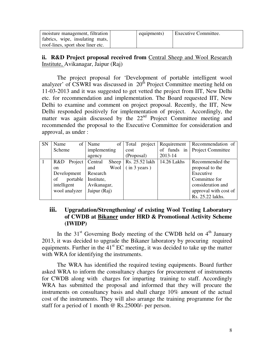| moisture management, filtration   | equipments) | <b>Executive Committee.</b> |
|-----------------------------------|-------------|-----------------------------|
| fabrics, wipe, insulating mats,   |             |                             |
| roof-lines, sport shoe liner etc. |             |                             |

## **ii. R&D Project proposal received from Central Sheep and Wool Research** Institute, Avikanagar, Jaipur (Raj)

 The project proposal for 'Development of portable intelligent wool analyzer' of  $\overline{\text{CSWRI}}$  was discussed in  $20^{th}$  Project Committee meeting held on 11-03-2013 and it was suggested to get vetted the project from IIT, New Delhi etc. for recommendation and implementation. The Board requested IIT, New Delhi to examine and comment on project proposal. Recently, the IIT, New Delhi responded positively for implementation of project. Accordingly, the matter was again discussed by the 22<sup>nd</sup> Project Committee meeting and recommended the proposal to the Executive Committee for consideration and approval, as under :

| <b>SN</b> | Name        | of 1          | Name         | of    | Total        | project        | Requirement | Recommendation of             |
|-----------|-------------|---------------|--------------|-------|--------------|----------------|-------------|-------------------------------|
|           | Scheme      |               | implementing |       | cost         |                |             | of funds in Project Committee |
|           |             |               | agency       |       | (Proposal)   |                | 2013-14     |                               |
|           | R&D         | Project       | Central      | Sheep |              | Rs. 25.52 lakh | 14.26 Lakhs | Recommended the               |
|           | on.         |               | and          | Wool  | (in 3 years) |                |             | proposal to the               |
|           |             | Development   | Research     |       |              |                |             | Executive                     |
|           | of          | portable      | Institute,   |       |              |                |             | Committee for                 |
|           | intelligent |               | Avikanagar,  |       |              |                |             | consideration and             |
|           |             | wool analyzer | Jaipur (Raj) |       |              |                |             | approval with cost of         |
|           |             |               |              |       |              |                |             | Rs. 25.22 lakhs.              |

#### **iii. Upgradation/Strengthening/ of existing Wool Testing Laboratory of CWDB at Bikaner under HRD & Promotional Activity Scheme (IWIDP)**

In the  $31<sup>st</sup>$  Governing Body meeting of the CWDB held on  $4<sup>th</sup>$  January 2013, it was decided to upgrade the Bikaner laboratory by procuring required equipments. Further in the  $41<sup>st</sup>$  EC meeting, it was decided to take up the matter with WRA for identifying the instruments.

The WRA has identified the required testing equipments. Board further asked WRA to inform the consultancy charges for procurement of instruments for CWDB along with charges for imparting training to staff. Accordingly WRA has submitted the proposal and informed that they will procure the instruments on consultancy basis and shall charge 10% amount of the actual cost of the instruments. They will also arrange the training programme for the staff for a period of 1 month @ Rs.25000/- per person.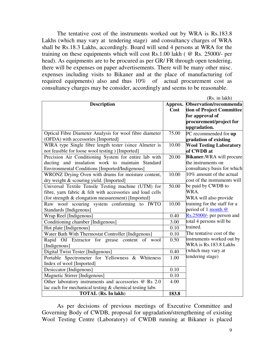The tentative cost of the instruments worked out by WRA is Rs.183.8 Lakhs (which may vary at tendering stage) and consultancy charges of WRA shall be Rs.18.3 Lakhs, accordingly. Board will send 4 persons at WRA for the training on these equipments which will cost Rs.1.00 lakh ( @ Rs. 25000/- per head). As equipments are to be procured as per GR/ FR through open tendering, there will be expenses on paper advertisements. There will be many other misc. expenses including visits to Bikaner and at the place of manufacturing (of required equipments) also and thus 10% of actual procurement cost as consultancy charges may be consider, accordingly and seems to be reasonable.

|                                                                                                                                                                        |                 | (Rs. in lakh)                                                                                                     |
|------------------------------------------------------------------------------------------------------------------------------------------------------------------------|-----------------|-------------------------------------------------------------------------------------------------------------------|
| <b>Description</b>                                                                                                                                                     | Approx.<br>Cost | Observation/recommenda<br>tion of Project Committee<br>for approval of<br>procurement/project for<br>upgradation. |
| Optical Fibre Diameter Analysis for wool fibre diameter<br>(OFDA) with accessories [Imported]                                                                          | 75.00           | PC recommended for up                                                                                             |
| WIRA type Single fibre length tester (since Almeter is<br>not feasible for loose wool testing ) [Imported]                                                             | 10.00           | gradation of existing<br><b>Wool Testing Laboratory</b><br>of CWDB at                                             |
| Precision Air Conditioning System for entire lab with<br>ducting and insulation work to maintain Standard<br>Environmental Conditions [Imported/Indigenous]            | 20.00           | <b>Bikaner.</b> WRA will procure<br>the instruments on<br>consultancy basis for which                             |
| WRONZ Drying Oven with drums for moisture content,<br>dry weight & scouring yield. [Imported]                                                                          | 10.00           | 10% amount of the actual<br>cost of the instruments will                                                          |
| Universal Textile Tensile Testing machine (UTM) for<br>fibre, yarn fabric & felt with accessories and load cells<br>(for strength & elongation measurement) [Imported] | 50.00           | be paid by CWDB to<br>WRA.<br>WRA will also provide                                                               |
| Raw wool scouring system conforming to IWTO<br>Standards [Indigenous]                                                                                                  | 10.00           | training for the staff for a<br>period of 1 month @                                                               |
| Wrap Reel [Indigenous]                                                                                                                                                 | 0.40            | Rs.25000/- per person and                                                                                         |
| Conditioning chamber [Indigenous]                                                                                                                                      | 3.00            | total 4 persons will be                                                                                           |
| Hot plate [Indigenous]                                                                                                                                                 | 0.10            | trained.                                                                                                          |
| Water Bath With Thermostat Controller [Indigenous]                                                                                                                     | 0.10            | The tentative cost of the                                                                                         |
| Rapid Oil Extractor for grease content of wool<br>[Indigenous]                                                                                                         | 0.50            | instruments worked out by<br>WRA is Rs.183.8 Lakhs                                                                |
| Digital Twist Tester [Indigenous]                                                                                                                                      | 0.40            | (which may vary at                                                                                                |
| Portable Spectrometer for Yellowness & Whiteness<br>Index of wool [Imported]                                                                                           | 1.00            | tendering stage)                                                                                                  |
| Desiccator [Indigenous]                                                                                                                                                | 0.10            |                                                                                                                   |
| Magnetic Stirrer [Indigenous]                                                                                                                                          | 0.10            |                                                                                                                   |
| Other laboratory instruments and accessories @ Rs 2.0                                                                                                                  | 4.00            |                                                                                                                   |
| lac each for mechanical testing & chemical testing labs                                                                                                                |                 |                                                                                                                   |
| <b>TOTAL</b> (Rs. In lakh)                                                                                                                                             | 183.8           |                                                                                                                   |

 As per decisions of previous meetings of Executive Committee and Governing Body of CWDB, proposal for upgradation/strengthening of existing Wool Testing Centre (Laboratory) of CWDB running at Bikaner is placed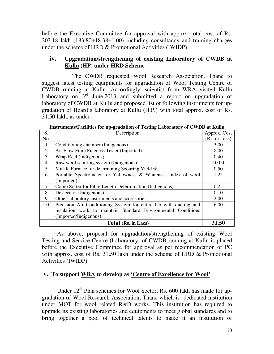before the Executive Committee for approval with approx. total cost of Rs. 203.18 lakh (183.80+18.38+1.00) including consultancy and training charges under the scheme of HRD & Promotional Activities (IWIDP).

#### **iv. Upgradation/strengthening of existing Laboratory of CWDB at Kullu (HP) under HRD Scheme**

 The CWDB requested Wool Research Association, Thane to suggest latest testing equipments for upgradation of Wool Testing Centre of CWDB running at Kullu. Accordingly, scientist from WRA visited Kullu Laboratory on  $3<sup>rd</sup>$  June, 2013 and submitted a report on upgradation of laboratory of CWDB at Kullu and proposed list of following instruments for upgradation of Board's laboratory at Kullu (H.P.) with total approx. cost of Rs. 31.50 lakh, as under :

| S.  | Description                                                       | Approx. Cost  |
|-----|-------------------------------------------------------------------|---------------|
| No. |                                                                   | (Rs. in Lacs) |
| 1   | Conditioning chamber (Indigenous)                                 | 3.00          |
| 2   | Air Flow Fibre Fineness Tester (Imported)                         | 8.00          |
| 3   | Wrap Reel (Indigenous)                                            | 0.40          |
| 4   | Raw wool scouring system (Indigenous)                             | 10.00         |
| 5   | Muffle Furnace for determining Scouring Yield %                   | 0.50          |
| 6   | Portable Spectrometer for Yellowness & Whiteness Index of wool    | 1.25          |
|     | (Imported)                                                        |               |
| 7   | Comb Sorter for Fibre Length Determination (Indigenous)           | 0.25          |
| 8   | Desiccator (Indigenous)                                           | 0.10          |
| 9   | Other laboratory instruments and accessories                      | 2.00          |
| 10  | Precision Air Conditioning System for entire lab with ducting and | 6.00          |
|     | insulation work to maintain Standard Environmental Conditions     |               |
|     | (Imported/Indigenous)                                             |               |
|     | Total (Rs. in Lacs)                                               | 31.50         |

**Instruments/Facilities for up-gradation of Testing Laboratory of CWDB at Kullu** 

 As above, proposal for upgradation/strengthening of existing Wool Testing and Service Centre (Laboratory) of CWDB running at Kullu is placed before the Executive Committee for approval as per recommendation of PC with approx. cost of Rs. 31.50 lakh under the scheme of HRD & Promotional Activities (IWIDP).

#### **v. To support WRA to develop as 'Centre of Excellence for Wool'**

Under  $12<sup>th</sup>$  Plan schemes for Wool Sector, Rs. 600 lakh has made for upgradation of Wool Research Association, Thane which is dedicated institution under MOT for wool related R&D works. This institution has required to upgrade its existing laboratories and equipments to meet global standards and to bring together a pool of technical talents to make it an institution of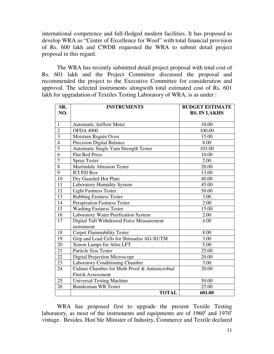international competence and full-fledged modern facilities. It has proposed to develop WRA as "Centre of Excellence for Wool" with total financial provision of Rs. 600 lakh and CWDB requested the WRA to submit detail project proposal in this regard.

 The WRA has recently submitted detail project proposal with total cost of Rs. 601 lakh and the Project Committee discussed the proposal and recommended the project to the Executive Committee for consideration and approval. The selected instruments alongwith total estimated cost of Rs. 601 lakh for upgradation of Textiles Testing Laboratory of WRA, is as under :

| SR.<br>NO.      | <b>INSTRUMENTS</b>                                      | <b>BUDGET ESTIMATE</b><br><b>RS. IN LAKHS</b> |
|-----------------|---------------------------------------------------------|-----------------------------------------------|
| $\mathbf{1}$    | <b>Automatic Airflow Meter</b>                          | 10.00                                         |
| $\overline{2}$  | <b>OFDA 4000</b>                                        | 100.00                                        |
| $\overline{3}$  | Moisture Regain Oven                                    | 15.00                                         |
| $\overline{4}$  | <b>Precision Digital Balance</b>                        | 8.00                                          |
| $\overline{5}$  | Automatic Single Yarn Strength Tester                   | 103.00                                        |
| $\overline{6}$  | <b>Flat Bed Press</b>                                   | 10.00                                         |
| $\overline{7}$  | <b>Spray Tester</b>                                     | 2.00                                          |
| $\overline{8}$  | <b>Martindale Abrasion Tester</b>                       | 20.00                                         |
| $\overline{9}$  | <b>ICI Pill Box</b>                                     | 13.00                                         |
| $\overline{10}$ | Dry Guarded Hot Plate                                   | 40.00                                         |
| 11              | Laboratory Humidity System                              | 45.00                                         |
| 12              | <b>Light Fastness Tester</b>                            | 50.00                                         |
| 13              | <b>Rubbing Fastness Tester</b>                          | 3.00                                          |
| 14              | Perspiration Fastness Tester                            | 2.00                                          |
| 15              | <b>Washing Fastness Tester</b>                          | 15.00                                         |
| $\overline{16}$ | Laboratory Water Purification System                    | 2.00                                          |
| 17              | Digital Tuft Withdrawal Force Measurement<br>instrument | 4.00                                          |
| $\overline{18}$ | <b>Carpet Flammability Tester</b>                       | 8.00                                          |
| 19              | Grip and Load Cells for Shimadzu AG-XUTM                | 3.00                                          |
| $\overline{20}$ | Xenon Lamps for Atlas LFT                               | 5.00                                          |
| 21              | Particle Size Tester                                    | 25.00                                         |
| 22              | <b>Digital Projection Microscope</b>                    | 20.00                                         |
| 23              | Laboratory Conditioning Chamber                         | 3.00                                          |
| 24              | Culture Chamber for Moth Proof & Antimicrobial          | 20.00                                         |
|                 | <b>Finish Assessment</b>                                |                                               |
| 25              | <b>Universal Testing Machine</b>                        | 50.00                                         |
| $\overline{26}$ | <b>Bundesman WR Tester</b>                              | 25.00                                         |
|                 | <b>TOTAL</b>                                            | 601.00                                        |

 WRA has proposed first to upgrade the present Textile Testing laboratory, as most of the instruments and equipments are of  $1960<sup>s</sup>$  and  $1970<sup>s</sup>$ vintage. Besides, Hon'ble Minister of Industry, Commerce and Textile declared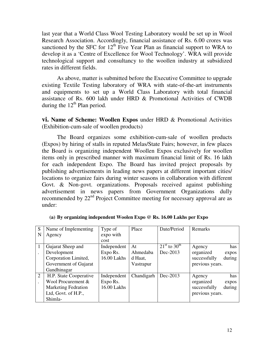last year that a World Class Wool Testing Laboratory would be set up in Wool Research Association. Accordingly, financial assistance of Rs. 6.00 crores was sanctioned by the SFC for  $12<sup>th</sup>$  Five Year Plan as financial support to WRA to develop it as a 'Centre of Excellence for Wool Technology'. WRA will provide technological support and consultancy to the woollen industry at subsidized rates in different fields.

 As above, matter is submitted before the Executive Committee to upgrade existing Textile Testing laboratory of WRA with state-of-the-art instruments and equipments to set up a World Class Laboratory with total financial assistance of Rs. 600 lakh under HRD & Promotional Activities of CWDB during the  $12<sup>th</sup>$  Plan period.

**vi. Name of Scheme: Woollen Expos** under HRD & Promotional Activities (Exhibition-cum-sale of woollen products)

 The Board organizes some exhibition-cum-sale of woollen products (Expos) by hiring of stalls in reputed Melas/State Fairs; however, in few places the Board is organizing independent Woollen Expos exclusively for woollen items only in prescribed manner with maximum financial limit of Rs. 16 lakh for each independent Expo. The Board has invited project proposals by publishing advertisements in leading news papers at different important cities/ locations to organize fairs during winter seasons in collaboration with different Govt. & Non-govt. organizations. Proposals received against publishing advertisement in news papers from Government Organizations dully recommended by 22<sup>nd</sup> Project Committee meeting for necessary approval are as under:

| S              | Name of Implementing       | Type of     | Place      | Date/Period                    | Remarks                |
|----------------|----------------------------|-------------|------------|--------------------------------|------------------------|
| N              | Agency                     | expo with   |            |                                |                        |
|                |                            | cost        |            |                                |                        |
|                | Gujarat Sheep and          | Independent | At         | $21^{\rm st}$ to $30^{\rm th}$ | has<br>Agency          |
|                | Development                | Expo Rs.    | Ahmedaba   | Dec-2013                       | organized<br>expos     |
|                | Corporation Limited,       | 16.00 Lakhs | d Haat,    |                                | successfully<br>during |
|                | Government of Gujarat      |             | Vastrapur  |                                | previous years.        |
|                | Gandhinagar                |             |            |                                |                        |
| $\overline{2}$ | H.P. State Cooperative     | Independent | Chandigarh | Dec-2013                       | has<br>Agency          |
|                | Wool Procurement &         | Expo Rs.    |            |                                | organized<br>expos     |
|                | <b>Marketing Fedration</b> | 16.00 Lakhs |            |                                | during<br>successfully |
|                | Ltd, Govt. of H.P.,        |             |            |                                | previous years.        |
|                | Shimla-                    |             |            |                                |                        |

**(a) By organizing independent Woolen Expo @ Rs. 16.00 Lakhs per Expo**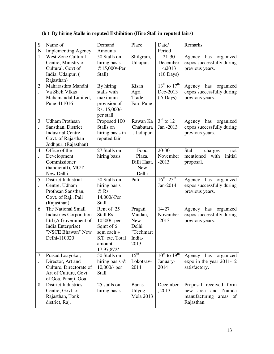| S                    | Name of                       | Demand          | Place            | Date/                                | Remarks                      |
|----------------------|-------------------------------|-----------------|------------------|--------------------------------------|------------------------------|
|                      |                               |                 |                  |                                      |                              |
| N                    | <b>Implementing Agency</b>    | <b>Amounts</b>  |                  | Period                               |                              |
| $\mathbf{1}$         | <b>West Zone Cultural</b>     | 50 Stalls on    | Shilgram,        | $21 - 30$                            | has<br>organized<br>Agency   |
| $\ddot{\phantom{0}}$ | Centre, Ministry of           | hiring basis    | Udaipur.         | December                             | expos successfully during    |
|                      | Cultural, Govt of             | @15,000/-Per    |                  | $-ii2013$                            | previous years.              |
|                      | India, Udaipur. (             | Stall)          |                  | $(10 \text{ Days})$                  |                              |
|                      | Rajasthan)                    |                 |                  |                                      |                              |
| $\overline{2}$       | Maharasthra Mandhi            | By hiring       | Kisan            | $13^{\text{th}}$ to $17^{\text{th}}$ | Agency has<br>organized      |
|                      | Va Sheli VIkas                | stalls with     | Agri             | Dec-2013                             | expos successfully during    |
|                      | Mahamandal Limited,           | maximum         | Trade            | $(5 \text{ Days})$                   | previous years.              |
|                      | Pune-411016                   | provision of    | Fair, Pune       |                                      |                              |
|                      |                               | Rs. 15,000/-    |                  |                                      |                              |
|                      |                               | per stall       |                  |                                      |                              |
| 3                    | <b>Udham Prothsan</b>         | Proposed 100    | Rawan Ka         | $3^{\text{rd}}$ to $12^{\text{th}}$  | has<br>organized<br>Agency   |
| $\ddot{\phantom{0}}$ | Sansthan, District            | Stalls on       | Chabutara        | Jan -2013                            | expos successfully during    |
|                      | Industrial Centre,            | hiring basis in | , Jadhpur        |                                      | previous years.              |
|                      | Govt. of Rajasthan            | reputed fair    |                  |                                      |                              |
|                      | Jodhpur. (Rajasthan)          |                 |                  |                                      |                              |
| $\overline{4}$       | Office of the                 | 27 Stalls on    | Food             | $20 - 30$                            | Stall<br>charges<br>not      |
|                      | Development                   | hiring basis    | Plaza,           | November                             | mentioned<br>with<br>initial |
|                      | Commissioner                  |                 | Dilli Haat,      | $-2013$                              | proposal.                    |
|                      | (handicraft), MOT             |                 | <b>New</b>       |                                      |                              |
|                      | New Delhi                     |                 | Delhi            |                                      |                              |
| 5                    | District Industrial           | 50 Stalls on    | Pali             | $16^{th} - 25^{th}$                  | organized<br>Agency has      |
| $\ddot{\phantom{0}}$ | Centre, Udham                 | hiring basis    |                  | Jan-2014                             | expos successfully during    |
|                      | Prothsan Sansthan,            | @ Rs.           |                  |                                      | previous years.              |
|                      | Govt. of Raj., Pali           | 14,000/-Per     |                  |                                      |                              |
|                      | (Rajasthan)                   | Stall           |                  |                                      |                              |
| 6                    | The National Small            | Rent of 25      | Pragati          | $14 - 27$                            | Agency has<br>organized      |
| $\ddot{\phantom{0}}$ | <b>Industries Corporation</b> | Stall Rs.       | Maidan,          | November                             | expos successfully during    |
|                      | Ltd (A Government of          | 10500/- per     | <b>New</b>       | $-2013$                              | previous years.              |
|                      | India Enterprise)             | Sqmt of 6       | Delhi            |                                      |                              |
|                      | "NSCE Bhawan" New             | sqm each +      | "Techmart        |                                      |                              |
|                      | Delhi-110020                  | S.T. etc. Total | India-           |                                      |                              |
|                      |                               | amount          | 2013"            |                                      |                              |
|                      |                               | 17,97,872/-     |                  |                                      |                              |
| 7                    | Prasad Loayokar,              | 50 Stalls on    | $15^{\text{th}}$ | $10^{th}$ to $19^{th}$               | Agency has<br>organized      |
|                      | Director, Art and             | hiring basis @  | Lokotsav-        | January-                             | expo in the year 2011-12     |
|                      | Culture, Directorate of       | 10,000/- per    | 2014             | 2014                                 | satisfactory.                |
|                      | Art of Culture, Govt.         | Stall           |                  |                                      |                              |
|                      | of Goa, Panaji, Goa           |                 |                  |                                      |                              |
| 8                    | <b>District Industries</b>    | 25 stalls on    | <b>Banas</b>     | December                             | Proposal received form       |
|                      | Centre, Govt. of              | hiring basis    | Udyog            | , 2013                               | and Namda<br>new<br>area     |
|                      | Rajasthan, Tonk               |                 | <b>Mela 2013</b> |                                      | manufacturing<br>areas of    |
|                      | district, Raj.                |                 |                  |                                      | Rajasthan.                   |
|                      |                               |                 |                  |                                      |                              |

# **(b ) By hiring Stalls in reputed Exhibition (Hire Stall in reputed fairs)**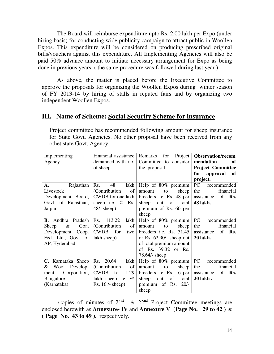The Board will reimburse expenditure upto Rs. 2.00 lakh per Expo (under hiring basis) for conducting wide publicity campaign to attract public in Woollen Expos. This expenditure will be considered on producing prescribed original bills/vouchers against this expenditure. All Implementing Agencies will also be paid 50% advance amount to initiate necessary arrangement for Expo as being done in previous years. ( the same procedure was followed during last year )

 As above, the matter is placed before the Executive Committee to approve the proposals for organizing the Woollen Expos during winter season of FY 2013-14 by hiring of stalls in reputed fairs and by organizing two independent Woollen Expos.

## **III. Name of Scheme: Social Security Scheme for insurance**

| Implementing                     | Financial assistance      | Project<br>for<br>Remarks  | <b>Observation/recom</b>    |
|----------------------------------|---------------------------|----------------------------|-----------------------------|
| Agency                           | demanded with no.         | Committee to consider      | mendation<br>of             |
|                                  | of sheep                  | the proposal               | <b>Project Committee</b>    |
|                                  |                           |                            | for<br>approval of          |
|                                  |                           |                            | project.                    |
| Rajasthan $\mid$ Rs.<br>А.       | 48<br>lakh                | Help of $80\%$ premium     | PC<br>recommended           |
| Livestock                        | (Contribution)<br>of      | sheep<br>amount<br>to      | financial<br>the            |
| Development Board,               | CWDB for one lakh         | breeders i.e. Rs. 48 per   | assistance<br>of <b>Rs.</b> |
| Govt. of Rajasthan,              | sheep i.e. @<br>Rs.       | sheep out of total         | <b>48 lakh.</b>             |
| Jaipur                           | $48/-$ sheep)             | premium of Rs. 60 per      |                             |
|                                  |                           | sheep                      |                             |
| <b>B.</b> Andhra Pradesh         | Rs.<br>113.22<br>lakh     | Help of $80\%$ premium     | PC<br>recommended           |
| &<br>Goat<br>Sheep               | (Contribution)<br>of      | to<br>sheep<br>amount      | the<br>financial            |
| Development Coop.                | <b>CWDB</b><br>for<br>two | breeders i.e. Rs. $31.45$  | assistance<br>of Rs.        |
| Fed. Ltd., Govt. of              | lakh sheep)               | or Rs. $62.90/-$ sheep out | <b>20 lakh.</b>             |
| AP, Hyderabad                    |                           | of total premium amount    |                             |
|                                  |                           | of Rs. 39.32 or Rs.        |                             |
|                                  |                           | $78.64$ /- sheep           |                             |
| C. Karnataka Sheep   Rs. $20.64$ | lakh                      | Help of 80% premium        | PC<br>recommended           |
| Wool Develop-<br>&               | (Contribution)<br>of      | sheep<br>amount<br>to      | the<br>financial            |
| Corporation,<br>ment             | CWDB for<br>1.29          | breeders i.e. Rs. 16 per   | assistance<br>of <b>Rs.</b> |
| Bangalore                        | lakh sheep i.e. @         | of total<br>sheep out      | 20 lakh.                    |
| (Karnataka)                      | Rs. $16$ /- sheep)        | premium of Rs. 20/-        |                             |
|                                  |                           | sheep                      |                             |

Project committee has recommended following amount for sheep insurance for State Govt. Agencies. No other proposal have been received from any othet state Govt. Agency.

Copies of minutes of  $21<sup>st</sup>$  &  $22<sup>nd</sup>$  Project Committee meetings are enclosed herewith as **Annexure- IV** and **Annexure V** (**Page No. 29 to 42** ) & ( **Page No. 43 to 49 ),** respectively.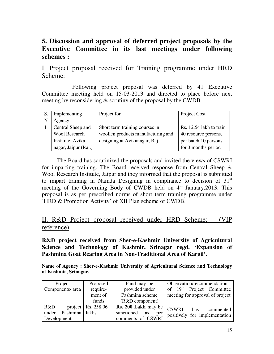# **5. Discussion and approval of deferred project proposals by the Executive Committee in its last meetings under following schemes :**

## I. Project proposal received for Training programme under HRD Scheme:

 Following project proposal was deferred by 41 Executive Committee meeting held on 15-03-2013 and directed to place before next meeting by reconsidering & scrutiny of the proposal by the CWDB.

|    | Implementing         | Project for                        | Project Cost            |
|----|----------------------|------------------------------------|-------------------------|
| -N | Agency               |                                    |                         |
|    | Central Sheep and    | Short term training courses in     | Rs. 12.54 lakh to train |
|    | <b>Wool Research</b> | woollen products manufacturing and | 40 resource persons,    |
|    | Institute, Avika-    | designing at Avikanagar, Raj.      | per batch 10 persons    |
|    | nagar, Jaipur (Raj.) |                                    | for 3 months period     |

 The Board has scrutinized the proposals and invited the views of CSWRI for imparting training. The Board received response from Central Sheep  $\&$ Wool Research Institute, Jaipur and they informed that the proposal is submitted to impart training in Namda Designing in compliance to decision of  $31<sup>st</sup>$ meeting of the Governing Body of CWDB held on 4<sup>th</sup> January, 2013. This proposal is as per prescribed norms of short term training programme under 'HRD & Promotion Activity' of XII Plan scheme of CWDB.

# II. R&D Project proposal received under HRD Scheme: (VIP reference)

#### **R&D project received from Sher-e-Kashmir University of Agricultural Science and Technology of Kashmir, Srinagar regd. 'Expansion of Pashmina Goat Rearing Area in Non-Traditional Area of Kargil'.**

**Name of Agency : Sher-e-Kashmir University of Agricultural Science and Technology of Kashmir, Srinagar.** 

| Project                 | Proposed               | Fund may be                               | Observation/recommendation      |
|-------------------------|------------------------|-------------------------------------------|---------------------------------|
| Components/ area        | require-               | provided under                            | of $19th$ Project Committee     |
|                         | ment of                | Pashmina scheme                           | meeting for approval of project |
|                         | funds                  | $(R&D$ component)                         |                                 |
| R&D                     | project   Rs. $258.06$ | $\sqrt{Rs. 200$ Lakh may be $\vert$ CSWRI | has<br>commented                |
| Pashmina lakhs<br>under |                        | sanctioned<br>as<br>per                   | positively for implementation   |
| Development             |                        | comments of CSWRI                         |                                 |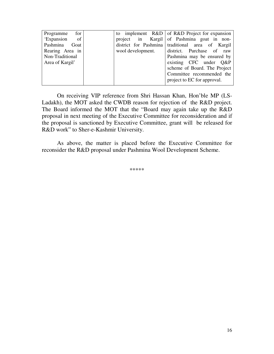| for<br>Programme         |                   | to implement $R&D$ of $R&D$ Project for expansion |
|--------------------------|-------------------|---------------------------------------------------|
| 'Expansion<br>$\circ$ of |                   | project in Kargil of Pashmina goat in non-        |
| Pashmina Goat            |                   | district for Pashmina traditional area of Kargil  |
| Rearing Area in          | wool development. | district. Purchase of raw                         |
| Non-Traditional          |                   | Pashmina may be ensured by                        |
| Area of Kargil'          |                   | existing CFC under Q&P                            |
|                          |                   | scheme of Board. The Project                      |
|                          |                   | Committee recommended the                         |
|                          |                   | project to EC for approval.                       |
|                          |                   |                                                   |

 On receiving VIP reference from Shri Hassan Khan, Hon'ble MP (LS-Ladakh), the MOT asked the CWDB reason for rejection of the R&D project. The Board informed the MOT that the "Board may again take up the R&D proposal in next meeting of the Executive Committee for reconsideration and if the proposal is sanctioned by Executive Committee, grant will be released for R&D work" to Sher-e-Kashmir University.

 As above, the matter is placed before the Executive Committee for reconsider the R&D proposal under Pashmina Wool Development Scheme.

\*\*\*\*\*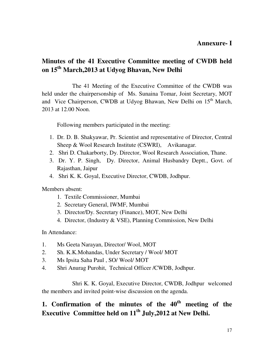# **Minutes of the 41 Executive Committee meeting of CWDB held on 15th March,2013 at Udyog Bhavan, New Delhi**

 The 41 Meeting of the Executive Committee of the CWDB was held under the chairpersonship of Ms. Sunaina Tomar, Joint Secretary, MOT and Vice Chairperson, CWDB at Udyog Bhawan, New Delhi on 15<sup>th</sup> March, 2013 at 12.00 Noon.

Following members participated in the meeting:

- 1. Dr. D. B. Shakyawar, Pr. Scientist and representative of Director, Central Sheep & Wool Research Institute (CSWRI), Avikanagar.
- 2. Shri D. Chakarborty, Dy. Director, Wool Research Association, Thane.
- 3. Dr. Y. P. Singh, Dy. Director, Animal Husbandry Deptt., Govt. of Rajasthan, Jaipur
- 4. Shri K. K. Goyal, Executive Director, CWDB, Jodhpur.

Members absent:

- 1. Textile Commissioner, Mumbai
- 2. Secretary General, IWMF, Mumbai
- 3. Director/Dy. Secretary (Finance), MOT, New Delhi
- 4. Director, (Industry & VSE), Planning Commission, New Delhi

In Attendance:

- 1. Ms Geeta Narayan, Director/ Wool, MOT
- 2. Sh. K.K.Mohandas, Under Secretary / Wool/ MOT
- 3. Ms Ipsita Saha Paul , SO/ Wool/ MOT
- 4. Shri Anurag Purohit, Technical Officer /CWDB, Jodhpur.

 Shri K. K. Goyal, Executive Director, CWDB, Jodhpur welcomed the members and invited point-wise discussion on the agenda.

# **1. Confirmation of the minutes of the 40th meeting of the Executive Committee held on 11th July,2012 at New Delhi.**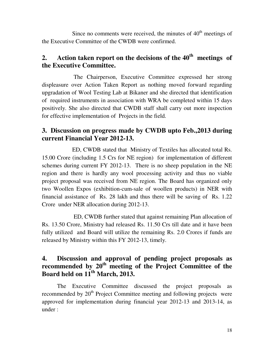Since no comments were received, the minutes of  $40<sup>th</sup>$  meetings of the Executive Committee of the CWDB were confirmed.

# **2. Action taken report on the decisions of the 40th meetings of the Executive Committee.**

 The Chairperson, Executive Committee expressed her strong displeasure over Action Taken Report as nothing moved forward regarding upgradation of Wool Testing Lab at Bikaner and she directed that identification of required instruments in association with WRA be completed within 15 days positively. She also directed that CWDB staff shall carry out more inspection for effective implementation of Projects in the field.

# **3. Discussion on progress made by CWDB upto Feb.,2013 during current Financial Year 2012-13.**

 ED, CWDB stated that Ministry of Textiles has allocated total Rs. 15.00 Crore (including 1.5 Crs for NE region) for implementation of different schemes during current FY 2012-13. There is no sheep population in the NE region and there is hardly any wool processing activity and thus no viable project proposal was received from NE region. The Board has organized only two Woollen Expos (exhibition-cum-sale of woollen products) in NER with financial assistance of Rs. 28 lakh and thus there will be saving of Rs. 1.22 Crore under NER allocation during 2012-13.

 ED, CWDB further stated that against remaining Plan allocation of Rs. 13.50 Crore, Ministry had released Rs. 11.50 Crs till date and it have been fully utilized and Board will utilize the remaining Rs. 2.0 Crores if funds are released by Ministry within this FY 2012-13, timely.

# **4. Discussion and approval of pending project proposals as recommended by 20th meeting of the Project Committee of the Board held on 11th March, 2013.**

 The Executive Committee discussed the project proposals as recommended by  $20<sup>th</sup>$  Project Committee meeting and following projects were approved for implementation during financial year 2012-13 and 2013-14, as under :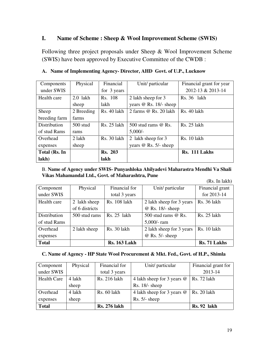#### **I. Name of Scheme : Sheep & Wool Improvement Scheme (SWIS)**

Following three project proposals under Sheep & Wool Improvement Scheme (SWIS) have been approved by Executive Committee of the CWDB :

| Components    | Physical   | Financial      | Unit/ particular             | Financial grant for year |
|---------------|------------|----------------|------------------------------|--------------------------|
| under SWIS    |            | for 3 years    |                              | 2012-13 & 2013-14        |
| Health care   | $2.0$ lakh | Rs. 108        | 2 lakh sheep for 3           | $Rs. 36$ lakh            |
|               | sheep      | lakh           | years @ Rs. 18/- sheep       |                          |
| Sheep         | 2 Breeding | Rs. 40 lakh    | 2 farms $\omega$ Rs. 20 lakh | <b>Rs.</b> 40 lakh       |
| breeding farm | farms      |                |                              |                          |
| Distribution  | $500$ stud | Rs. 25 lakh    | 500 stud rams $@$ Rs.        | Rs. 25 lakh              |
| of stud Rams  | rams       |                | $5,000/-$                    |                          |
| Overhead      | 2 lakh     | Rs. 30 lakh    | 2 lakh sheep for 3           | Rs. 10 lakh              |
| expenses      | sheep      |                | years $@$ Rs. 5/- sheep      |                          |
| Total (Rs. In |            | <b>Rs. 203</b> |                              | Rs. 111 Lakhs            |
| lakh)         |            | lakh           |                              |                          |

#### **A. Name of Implementing Agency- Director, AHD Govt. of U.P., Lucknow**

B. **Name of Agency under SWIS- Punyashloka Ahilyadevi Maharastra Mendhi Va Shali Vikas Mahamandal Ltd., Govt. of Maharashtra, Pune** 

(Rs. In lakh)

| Component    | Physical       | Financial for       | Unit/ particular         | Financial grant    |
|--------------|----------------|---------------------|--------------------------|--------------------|
| under SWIS   |                | total 3 years       |                          | for 2013-14        |
| Health care  | 2 lakh sheep   | Rs. 108 lakh        | 2 lakh sheep for 3 years | <b>Rs.</b> 36 lakh |
|              | of 6 districts |                     | @ Rs. 18/- sheep         |                    |
| Distribution | 500 stud rams  | Rs. 25 lakh         | 500 stud rams @ Rs.      | Rs. 25 lakh        |
| of stud Rams |                |                     | $5,000$ /-ram            |                    |
| Overhead     | 2 lakh sheep   | Rs. 30 lakh         | 2 lakh sheep for 3 years | <b>Rs.</b> 10 lakh |
| expenses     |                |                     | $@$ Rs. 5/- sheep        |                    |
| <b>Total</b> |                | <b>Rs. 163 Lakh</b> |                          | Rs. 71 Lakhs       |

## **C. Name of Agency - HP State Wool Procurement & Mkt. Fed., Govt. of H.P., Shimla**

| Component          | Physical | Financial for       | Unit/ particular           | Financial grant for |
|--------------------|----------|---------------------|----------------------------|---------------------|
| under SWIS         |          | total 3 years       |                            | 2013-14             |
| <b>Health Care</b> | 4 lakh   | Rs. 216 lakh        | 4 lakh sheep for 3 years @ | Rs. 72 lakh         |
|                    | sheep    |                     | $Rs. 18/- sheep$           |                     |
| Overhead           | 4 lakh   | Rs. 60 lakh         | 4 lakh sheep for 3 years @ | <b>Rs. 20 lakh</b>  |
| expenses           | sheep    |                     | $Rs. 5/- sheep$            |                     |
| <b>Total</b>       |          | <b>Rs. 276 lakh</b> |                            | <b>Rs. 92 lakh</b>  |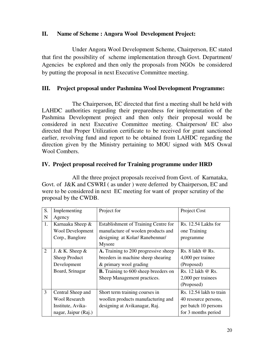## **II. Name of Scheme : Angora Wool Development Project:**

 Under Angora Wool Development Scheme, Chairperson, EC stated that first the possibility of scheme implementation through Govt. Department/ Agencies be explored and then only the proposals from NGOs be considered by putting the proposal in next Executive Committee meeting.

## **III. Project proposal under Pashmina Wool Development Programme:**

 The Chairperson, EC directed that first a meeting shall be held with LAHDC authorities regarding their preparedness for implementation of the Pashmina Development project and then only their proposal would be considered in next Executive Committee meeting. Chairperson/ EC also directed that Proper Utilization certificate to be received for grant sanctioned earlier, revolving fund and report to be obtained from LAHDC regarding the direction given by the Ministry pertaining to MOU signed with M/S Oswal Wool Combers.

#### **IV. Project proposal received for Training programme under HRD**

 All the three project proposals received from Govt. of Karnataka, Govt. of J&K and CSWRI ( as under ) were deferred by Chairperson, EC and were to be considered in next EC meeting for want of proper scrutiny of the proposal by the CWDB.

| S.             | Implementing         | Project for                                 | Project Cost            |
|----------------|----------------------|---------------------------------------------|-------------------------|
| N              | Agency               |                                             |                         |
| 1.             | Karnaaka Sheep &     | Establishment of Training Centre for        | Rs. 12.54 Lakhs for     |
|                | Wool Development     | manufacture of woolen products and          | one Training            |
|                | Corp., Banglore      | designing at Kolar/Ranebennur/              | programme               |
|                |                      | Mysore                                      |                         |
| 2              | J. & K. Sheep $&$    | A. Training to 200 progressive sheep        | Rs. $8$ lakh $@$ Rs.    |
|                | Sheep Product        | breeders in machine sheep shearing          | 4,000 per trainee       |
|                | Development          | & primary wool grading                      | (Proposed)              |
|                | Board, Srinagar      | <b>B.</b> Training to 600 sheep breeders on | Rs. 12 lakh @ Rs.       |
|                |                      | Sheep Management practices.                 | 2,000 per trainees      |
|                |                      |                                             | (Proposed)              |
| $\overline{3}$ | Central Sheep and    | Short term training courses in              | Rs. 12.54 lakh to train |
|                | <b>Wool Research</b> | woollen products manufacturing and          | 40 resource persons,    |
|                | Institute, Avika-    | designing at Avikanagar, Raj.               | per batch 10 persons    |
|                | nagar, Jaipur (Raj.) |                                             | for 3 months period     |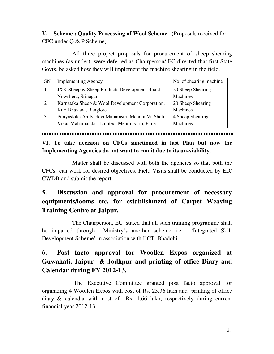**V. Scheme : Quality Processing of Wool Scheme** (Proposals received for CFC under Q & P Scheme) :

 All three project proposals for procurement of sheep shearing machines (as under) were deferred as Chairperson/ EC directed that first State Govts. be asked how they will implement the machine shearing in the field.

| <b>SN</b> | <b>Implementing Agency</b>                       | No. of shearing machine |
|-----------|--------------------------------------------------|-------------------------|
|           | J&K Sheep & Sheep Products Development Board     | 20 Sheep Shearing       |
|           | Nowshera, Srinagar                               | Machines                |
|           | Karnataka Sheep & Wool Development Corporation,  | 20 Sheep Shearing       |
|           | Kuri Bhavana, Banglore                           | <b>Machines</b>         |
|           | Punyasloka Ahilyadevi Maharastra Mendhi Va Sheli | 4 Sheep Shearing        |
|           | Vikas Mahamandal Limited, Mendi Farm, Pune       | <b>Machines</b>         |

**VI. To take decision on CFCs sanctioned in last Plan but now the Implementing Agencies do not want to run it due to its un-viability.** 

 Matter shall be discussed with both the agencies so that both the CFCs can work for desired objectives. Field Visits shall be conducted by ED/ CWDB and submit the report.

# **5. Discussion and approval for procurement of necessary equipments/looms etc. for establishment of Carpet Weaving Training Centre at Jaipur.**

 The Chairperson, EC stated that all such training programme shall be imparted through Ministry's another scheme i.e. 'Integrated Skill Development Scheme' in association with IICT, Bhadohi.

# **6. Post facto approval for Woollen Expos organized at Guwahati, Jaipur & Jodhpur and printing of office Diary and Calendar during FY 2012-13.**

The Executive Committee granted post facto approval for organizing 4 Woollen Expos with cost of Rs. 23.36 lakh and printing of office diary & calendar with cost of Rs. 1.66 lakh, respectively during current financial year 2012-13.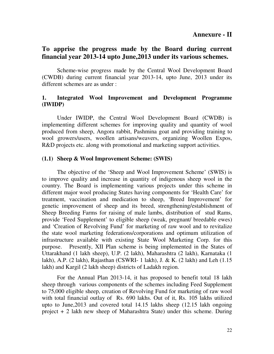## **To apprise the progress made by the Board during current financial year 2013-14 upto June,2013 under its various schemes.**

 Scheme-wise progress made by the Central Wool Development Board (CWDB) during current financial year 2013-14, upto June, 2013 under its different schemes are as under :

#### **1. Integrated Wool Improvement and Development Programme (IWIDP)**

Under IWIDP, the Central Wool Development Board (CWDB) is implementing different schemes for improving quality and quantity of wool produced from sheep, Angora rabbit, Pashmina goat and providing training to wool growers/users, woollen artisans/weavers, organizing Woollen Expos, R&D projects etc. along with promotional and marketing support activities.

#### **(1.1) Sheep & Wool Improvement Scheme: (SWIS)**

 The objective of the 'Sheep and Wool Improvement Scheme' (SWIS) is to improve quality and increase in quantity of indigenous sheep wool in the country. The Board is implementing various projects under this scheme in different major wool producing States having components for 'Health Care' for treatment, vaccination and medication to sheep, 'Breed Improvement' for genetic improvement of sheep and its breed, strengthening/establishment of Sheep Breeding Farms for raising of male lambs, distribution of stud Rams, provide 'Feed Supplement' to eligible sheep (weak, pregnant/ breedable ewes) and 'Creation of Revolving Fund' for marketing of raw wool and to revitalize the state wool marketing federations/corporations and optimum utilization of infrastructure available with existing State Wool Marketing Corp. for this purpose. Presently, XII Plan scheme is being implemented in the States of Uttarakhand (1 lakh sheep), U.P. (2 lakh), Maharashtra (2 lakh), Karnataka (1 lakh), A.P. (2 lakh), Rajasthan (CSWRI- 1 lakh), J. & K. (2 lakh) and Leh (1.15 lakh) and Kargil (2 lakh sheep) districts of Ladakh region.

 For the Annual Plan 2013-14, it has proposed to benefit total 18 lakh sheep through various components of the schemes including Feed Supplement to 75,000 eligible sheep, creation of Revolving Fund for marketing of raw wool with total financial outlay of Rs. 690 lakhs. Out of it, Rs. 105 lakhs utilized upto to June,2013 and covered total 14.15 lakhs sheep (12.15 lakh ongoing project + 2 lakh new sheep of Maharashtra State) under this scheme. During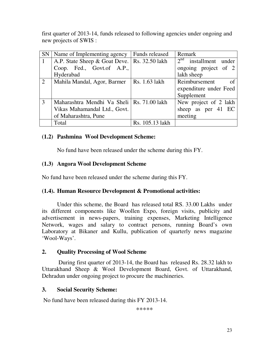first quarter of 2013-14, funds released to following agencies under ongoing and new projects of SWIS :

| SN                | Name of Implementing agency                  | <b>Funds released</b> | Remark                      |
|-------------------|----------------------------------------------|-----------------------|-----------------------------|
| $\vert$ 1         | A.P. State Sheep & Goat Deve.                | <b>Rs.</b> 32.50 lakh | $2nd$ installment under     |
|                   | Coop. Fed., Govt.of A.P.,                    |                       | ongoing project of 2        |
|                   | Hyderabad                                    |                       | lakh sheep                  |
| $\lceil 2 \rceil$ | Mahila Mandal, Agor, Barmer                  | Rs. 1.63 lakh         | Reimbursement<br>$\alpha$ f |
|                   |                                              |                       | expenditure under Feed      |
|                   |                                              |                       | Supplement                  |
| 3                 | Maharashtra Mendhi Va Sheli   Rs. 71.00 lakh |                       | New project of 2 lakh       |
|                   | Vikas Mahamandal Ltd., Govt.                 |                       | sheep as per 41 EC          |
|                   | of Maharashtra, Pune                         |                       | meeting                     |
|                   | Total                                        | Rs. 105.13 lakh       |                             |

#### **(1.2) Pashmina Wool Development Scheme:**

No fund have been released under the scheme during this FY.

## **(1.3) Angora Wool Development Scheme**

No fund have been released under the scheme during this FY.

## **(1.4). Human Resource Development & Promotional activities:**

 Under this scheme, the Board has released total RS. 33.00 Lakhs under its different components like Woollen Expo, foreign visits, publicity and advertisement in news-papers, training expenses, Marketing Intelligence Network, wages and salary to contract persons, running Board's own Laboratory at Bikaner and Kullu, publication of quarterly news magazine 'Wool-Ways'.

## **2. Quality Processing of Wool Scheme**

 During first quarter of 2013-14, the Board has released Rs. 28.32 lakh to Uttarakhand Sheep & Wool Development Board, Govt. of Uttarakhand, Dehradun under ongoing project to procure the machineries.

## **3. Social Security Scheme:**

No fund have been released during this FY 2013-14.

\*\*\*\*\*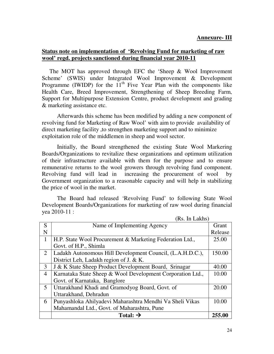#### **Annexure- III**

#### **Status note on implementation of 'Revolving Fund for marketing of raw wool' regd. projects sanctioned during financial year 2010-11**

The MOT has approved through EFC the 'Sheep & Wool Improvement Scheme' (SWIS) under Integrated Wool Improvement & Development Programme (IWIDP) for the  $11<sup>th</sup>$  Five Year Plan with the components like Health Care, Breed Improvement, Strengthening of Sheep Breeding Farm, Support for Multipurpose Extension Centre, product development and grading & marketing assistance etc.

 Afterwards this scheme has been modified by adding a new component of revolving fund for Marketing of Raw Wool' with aim to provide availability of direct marketing facility ,to strengthen marketing support and to minimize exploitation role of the middlemen in sheep and wool sector.

 Initially, the Board strengthened the existing State Wool Markering Boards/Organizations to revitalize these organizations and optimum utilization of their infrastructure available with them for the purpose and to ensure remunerative returns to the wool growers through revolving fund component. Revolving fund will lead in increasing the procurement of wool by Government organization to a reasonable capacity and will help in stabilizing the price of wool in the market.

 The Board had released 'Revolving Fund' to following State Wool Development Boards/Organizations for marketing of raw wool during financial yea 2010-11 :

|                | (Rs. In Lakhs)                                             |         |  |  |  |  |  |
|----------------|------------------------------------------------------------|---------|--|--|--|--|--|
| S              | Name of Implementing Agency                                | Grant   |  |  |  |  |  |
| N              |                                                            | Release |  |  |  |  |  |
| 1              | H.P. State Wool Procurement & Marketing Federation Ltd.,   | 25.00   |  |  |  |  |  |
|                | Govt. of H.P., Shimla                                      |         |  |  |  |  |  |
| $\overline{2}$ | Ladakh Autonomous Hill Development Council, (L.A.H.D.C.),  | 150.00  |  |  |  |  |  |
|                | District Leh, Ladakh region of J. & K.                     |         |  |  |  |  |  |
| 3              | J & K State Sheep Product Development Board, Srinagar      | 40.00   |  |  |  |  |  |
| $\overline{4}$ | Karnataka State Sheep & Wool Development Corporation Ltd., | 10.00   |  |  |  |  |  |
|                | Govt. of Karnataka, Banglore                               |         |  |  |  |  |  |
| 5              | Uttarakhand Khadi and Gramodyog Board, Govt. of            | 20.00   |  |  |  |  |  |
|                | Uttarakhand, Dehradun                                      |         |  |  |  |  |  |
| 6              | Punyashloka Ahilyadevi Maharashtra Mendhi Va Sheli Vikas   | 10.00   |  |  |  |  |  |
|                | Mahamandal Ltd., Govt. of Maharashtra, Pune                |         |  |  |  |  |  |
|                | Total: $\rightarrow$                                       | 255.00  |  |  |  |  |  |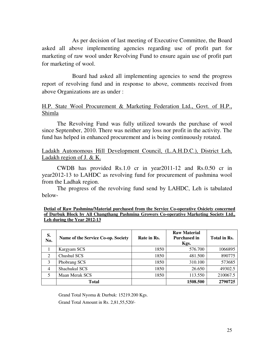As per decision of last meeting of Executive Committee, the Board asked all above implementing agencies regarding use of profit part for marketing of raw wool under Revolving Fund to ensure again use of profit part for marketing of wool.

 Board had asked all implementing agencies to send the progress report of revolving fund and in response to above, comments received from above Organizations are as under :

#### H.P. State Wool Procurement & Marketing Federation Ltd., Govt. of H.P., Shimla

The Revolving Fund was fully utilized towards the purchase of wool since September, 2010. There was neither any loss nor profit in the activity. The fund has helped in enhanced procurement and is being continuously rotated.

#### Ladakh Autonomous Hill Development Council, (L.A.H.D.C.), District Leh, Ladakh region of J. & K.

CWDB has provided Rs.1.0 cr in year2011-12 and Rs.0.50 cr in year2012-13 to LAHDC as revolving fund for procurement of pashmina wool from the Ladhak region.

The progress of the revolving fund send by LAHDC, Leh is tabulated below-

| Detial of Raw Pashmina/Material purchased from the Service Co-operative Osiciety concerned |
|--------------------------------------------------------------------------------------------|
| of Durbuk Block by All Changthang Pashmina Growers Co-operative Marketing Society Ltd.,    |
| Leh during the Year 2012-13                                                                |

| S.<br>No.      | Name of the Service Co-op. Society | Rate in Rs. | <b>Raw Material</b><br><b>Purchased in</b><br>Kgs. | Total in Rs. |
|----------------|------------------------------------|-------------|----------------------------------------------------|--------------|
|                | Kargyam SCS                        | 1850        | 576.700                                            | 1066895      |
| 2              | Chushul SCS                        | 1850        | 481.500                                            | 890775       |
| 3              | Phobrang SCS                       | 1850        | 310.100                                            | 573685       |
| $\overline{4}$ | Shachukul SCS                      | 1850        | 26.650                                             | 49302.5      |
| 5              | Maan Merak SCS                     | 1850        | 113.550                                            | 210067.5     |
|                | Total                              |             | 1508.500                                           | 2790725      |

Grand Total Nyoma & Durbuk: 15219.200 Kgs. Grand Total Amount in Rs. 2,81,55,520/-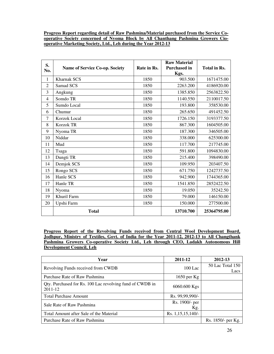#### **Progress Report regarding detail of Raw Pashmina/Material purchased from the Service Cooperative Society concerned of Nyoma Block by All Chanthang Pashmina Growers Ciooperative Marketing Society, Ltd., Leh during the Year 2012-13**

| S.<br>No.      | <b>Name of Service Co-op. Society</b> | Rate in Rs. | <b>Raw Material</b><br><b>Purchased in</b><br>Kgs. | <b>Total in Rs.</b> |
|----------------|---------------------------------------|-------------|----------------------------------------------------|---------------------|
| $\mathbf{1}$   | <b>Kharnak SCS</b>                    | 1850        | 903.500                                            | 1671475.00          |
| $\overline{2}$ | Samad SCS                             | 1850        | 2263.200                                           | 4186920.00          |
| 3              | Angkung                               | 1850        | 1385.850                                           | 2563822.50          |
| 4              | Somdo TR                              | 1850        | 1140.550                                           | 2110017.50          |
| 5              | Sumdo Local                           | 1850        | 193.800                                            | 358530.00           |
| 6              | Chumur                                | 1850        | 265.650                                            | 491452.50           |
| $\tau$         | Korzok Local                          | 1850        | 1726.150                                           | 3193377.50          |
| 8              | <b>Korzok TR</b>                      | 1850        | 867.300                                            | 1604505.00          |
| 9              | Nyoma TR                              | 1850        | 187.300                                            | 346505.00           |
| 10             | Niddar                                | 1850        | 338.000                                            | 625300.00           |
| 11             | Mud                                   | 1850        | 117.700                                            | 217745.00           |
| 12             | Tsaga                                 | 1850        | 591.800                                            | 1094830.00          |
| 13             | Dungti TR                             | 1850        | 215.400                                            | 398490.00           |
| 14             | Demjok SCS                            | 1850        | 109.950                                            | 203407.50           |
| 15             | Rongo SCS                             | 1850        | 671.750                                            | 1242737.50          |
| 16             | Hanle SCS                             | 1850        | 942.900                                            | 1744365.00          |
| 17             | Hanle TR                              | 1850        | 1541.850                                           | 2852422.50          |
| 18             | Nyoma                                 | 1850        | 19.050                                             | 35242.50            |
| 19             | Khuril Farm                           | 1850        | 79.000                                             | 146150.00           |
| 20             | Upshi Farm                            | 1850        | 150.000                                            | 277500.00           |
|                | <b>Total</b>                          |             | 13710.700                                          | 25364795.00         |

**Progress Report of the Revolving Funds received from Central Wool Development Board, Jodhpur, Ministry of Textiles, Govt. of India for the Year 2011-12, 2012-13 to All Changthank Pashmina Growers Co-operative Society Ltd., Leh through CEO, Ladakh Autonomous Hill Development Council, Leh**

| Year                                                                    | 2011-12               | 2012-13                  |
|-------------------------------------------------------------------------|-----------------------|--------------------------|
| Revolving Funds received from CWDB                                      | $100$ Lac             | 50 Lac Total 150<br>Lacs |
| Purchase Rate of Raw Pashmina                                           | 1650 per $Kg$         |                          |
| Qty. Purchased for Rs. 100 Lac revolving fund of CWDB in<br>$2011 - 12$ | 6060.600 Kgs          |                          |
| <b>Total Purchase Amount</b>                                            | Rs. 99,99,990/-       |                          |
| Sale Rate of Raw Pashmina                                               | Rs. 1900/- per<br>Kg. |                          |
| Total Amount after Sale of the Material                                 | Rs. 1,15,15,140/-     |                          |
| Purchase Rate of Raw Pashmina                                           |                       | Rs. 1850/- per Kg.       |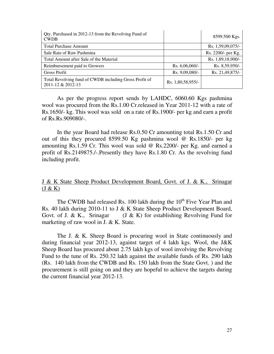| Qty. Purchased in 2012-13 from the Revolving Fund of<br><b>CWDB</b>         |                   | 8599.500 Kgs.      |
|-----------------------------------------------------------------------------|-------------------|--------------------|
| <b>Total Purchase Amount</b>                                                |                   | Rs. 1,59,09,075/-  |
| Sale Rate of Raw Pashmina                                                   |                   | Rs. 2200/- per Kg. |
| Total Amount after Sale of the Material                                     |                   | Rs. 1,89,18,900/-  |
| Reimbursement paid to Growers                                               | Rs. $6,06,060/-$  | Rs. 8,59,950/-     |
| Gross Profit                                                                | Rs. 9,09,080/-    | Rs. 21,49,875/-    |
| Total Revolving fund of CWDB including Gross Profit of<br>2011-12 & 2012-13 | Rs. 1,80,58,955/- |                    |

As per the progress report sends by LAHDC, 6060.60 Kgs pashmina wool was procured from the Rs.1.00 Cr.released in Year 2011-12 with a rate of Rs.1650/- kg. This wool was sold on a rate of Rs.1900/- per kg and earn a profit of Rs.Rs.909080/-.

In the year Board had release Rs.0.50 Cr amounting total Rs.1.50 Cr and out of this they procured 8599.50 Kg pashmina wool @ Rs.1850/- per kg amounting Rs.1.59 Cr. This wool was sold @ Rs.2200/- per Kg. and earned a profit of Rs.2149875./-.Presently they have Rs.1.80 Cr. As the revolving fund including profit.

J & K State Sheep Product Development Board, Govt. of J. & K., Srinagar  $(J & K)$ 

The CWDB had released Rs. 100 lakh during the  $10<sup>th</sup>$  Five Year Plan and Rs. 40 lakh during 2010-11 to J & K State Sheep Product Development Board, Govt. of J. & K., Srinagar (J & K) for establishing Revolving Fund for marketing of raw wool in J. & K. State.

 The J. & K. Sheep Board is procuring wool in State continuously and during financial year 2012-13, against target of 4 lakh kgs. Wool, the J&K Sheep Board has procured about 2.75 lakh kgs of wool involving the Revolving Fund to the tune of Rs. 250.32 lakh against the available funds of Rs. 290 lakh (Rs. 140 lakh from the CWDB and Rs. 150 lakh from the State Govt. ) and the procurement is still going on and they are hopeful to achieve the targets during the current financial year 2012-13.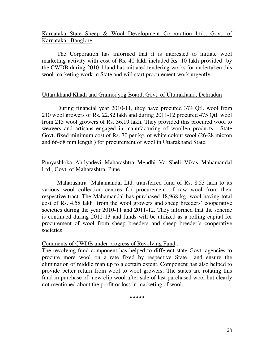### Karnataka State Sheep & Wool Development Corporation Ltd., Govt. of Karnataka, Banglore

 The Corporation has informed that it is interested to initiate wool marketing activity with cost of Rs. 40 lakh included Rs. 10 lakh provided by the CWDB during 2010-11and has initiated tendering works for undertaken this wool marketing work in State and will start procurement work urgently.

#### Uttarakhand Khadi and Gramodyog Board, Govt. of Uttarakhand, Dehradun

 During financial year 2010-11, they have procured 374 Qtl. wool from 210 wool growers of Rs. 22.82 lakh and during 2011-12 procured 475 Qtl. wool from 215 wool growers of Rs. 36.19 lakh. They provided this procured wool to weavers and artisans engaged in manufacturing of woollen products. State Govt. fixed minimum cost of Rs. 70 per kg. of white colour wool (26-28 micron and 66-68 mm length ) for procurement of wool in Uttarakhand State.

## Punyashloka Ahilyadevi Maharashtra Mendhi Va Sheli Vikas Mahamandal Ltd., Govt. of Maharashtra, Pune

 Maharashtra Mahamandal Ltd. transferred fund of Rs. 8.53 lakh to its various wool collection centres for procurement of raw wool from their respective tract. The Mahamandal has purchased 18,968 kg. wool having total cost of Rs. 4.58 lakh from the wool growers and sheep breeders' cooperative societies during the year 2010-11 and 2011-12. They informed that the scheme is continued during 2012-13 and funds will be utilized as a rolling capital for procurement of wool from sheep breeders and sheep breeder's cooperative societies.

#### Comments of CWDB under progress of Revolving Fund :

The revolving fund component has helped to different state Govt. agencies to procure more wool on a rate fixed by respective State and ensure the elimination of middle man up to a certain extent. Component has also helped to provide better return from wool to wool growers. The states are rotating this fund in purchase of new clip wool after sale of last purchased wool but clearly not mentioned about the profit or loss in marketing of wool.

**\*\*\*\*\***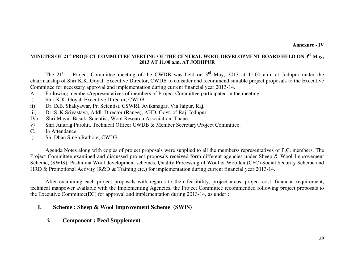## **MINUTES OF 21th PROJECT COMMITTEE MEETING OF THE CENTRAL WOOL DEVELOPMENT BOARD HELD ON 3rd May, 2013 AT 11.00 a.m. AT JODHPUR**

The  $21^{st}$  Project Committee meeting of the CWDB was held on  $3^{rd}$  May, 2013 at 11.00 a.m. at Jodhpur under the chairmanship of Shri K.K. Goyal, Executive Director, CWDB to consider and recommend suitable project proposals to the Executive Committee for necessary approval and implementation during current financial year 2013-14.

- A. Following members/representatives of members of Project Committee participated in the meeting:
- i) Shri K.K. Goyal, Executive Director, CWDB
- ii) Dr. D.B. Shakyawar, Pr. Scientist, CSWRI, Avikanagar, Via Jaipur, Raj.
- iii) Dr. S. K Srivastava, Addl. Director (Range), AHD, Govt. of Raj. Jodhpur
- IV) Shri Mayur Basuk, Scientist, Wool Research Association, Thane.
- v) Shri Anurag Purohit, Technical Officer CWDB & Member Secretary/Project Committee.
- C. In Attendance
- i) Sh. Dhan Singh Rathore, CWDB

 Agenda Notes along with copies of project proposals were supplied to all the members/ representatives of P.C. members. The Project Committee examined and discussed project proposals received form different agencies under Sheep & Wool Improvement Scheme, (SWIS), Pashmina Wool development schemes, Quality Processing of Wool & Woollen (CFC) Social Security Scheme and HRD & Promotional Activity (R&D & Training etc.) for implementation during current financial year 2013-14.

 After examining each project proposals with regards to their feasibility, project areas, project cost, financial requirement, technical manpower available with the Implementing Agencies, the Project Committee recommended following project proposals to the Executive Committee(EC) for approval and implementation during 2013-14, as under :

#### **I.Scheme : Sheep & Wool Improvement Scheme (SWIS)**

**i.Component : Feed Supplement**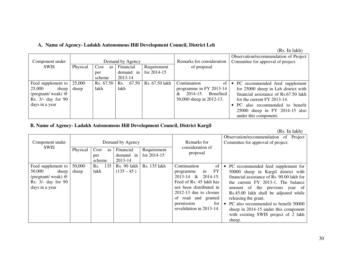#### **A. Name of Agency- Ladakh Autonomous Hill Development Council, District Leh**

| Component under    |          |            | Demand by Agency |                | Remarks for consideration      | Observation/recommendation of Project<br>Committee for approval of project. |
|--------------------|----------|------------|------------------|----------------|--------------------------------|-----------------------------------------------------------------------------|
| <b>SWIS</b>        | Physical | Cost<br>as | Financial        | Requirement    | of proposal                    |                                                                             |
|                    |          | per        | demand in        | for $2014-15$  |                                |                                                                             |
|                    |          | scheme     | 2013-14          |                |                                |                                                                             |
| Feed supplement to | 25,000   | Rs. 67.50  | 67.50<br>Rs.     | Rs. 67.50 lakh | Continuation<br>of             | • PC recommended feed supplement                                            |
| 25,000<br>sheep    | sheep    | lakh       | lakh             |                | programme in FY 2013-14        | for 25000 sheep in Leh district with                                        |
| (pregnant/weak) @  |          |            |                  |                | $2014 - 15.$<br>Benefited<br>& | financial assistance of Rs.67.50 lakh                                       |
| Rs. 3/- day for 90 |          |            |                  |                | 50,000 sheep in 2012-13.       | for the current FY 2013-14.                                                 |
| days in a year     |          |            |                  |                |                                | PC also recommended to benefit                                              |
|                    |          |            |                  |                |                                | 25000 sheep in FY 2014-15 also                                              |
|                    |          |            |                  |                |                                | under this component.                                                       |

#### **B. Name of Agency- Ladakh Autonomous Hill Development Council, District Kargil**

(Rs. In lakh)

| Component under<br><b>SWIS</b>                                                                       | Physical        | Cost<br><b>as</b><br>per<br>scheme | Demand by Agency<br>Financial<br>demand in<br>2013-14 | Requirement<br>for $2014-15$ | Remarks for<br>consideration of<br>proposal                                                                                                                                                                                            | Observation/recommendation of Project<br>Committee for approval of project.                                                                                                                                                                                                                                                                                                                         |
|------------------------------------------------------------------------------------------------------|-----------------|------------------------------------|-------------------------------------------------------|------------------------------|----------------------------------------------------------------------------------------------------------------------------------------------------------------------------------------------------------------------------------------|-----------------------------------------------------------------------------------------------------------------------------------------------------------------------------------------------------------------------------------------------------------------------------------------------------------------------------------------------------------------------------------------------------|
| Feed supplement to<br>50,000<br>sheep<br>(pregnant/weak) $@$<br>Rs. 3/- day for 90<br>days in a year | 50,000<br>sheep | 135<br>Rs.<br>lakh                 | Rs. 90 lakh<br>$(135 - 45)$                           | Rs. 135 lakh                 | Continuation<br><sup>of</sup><br>FY<br>in<br>programme<br>2013-14 & 2014-15.<br>Feed of Rs. 45 lakh has<br>not been distributed in<br>$2012-13$ due to closure<br>of road and granted<br>permission<br>for<br>revalidation in 2013-14. | PC recommended feed supplement for<br>50000 sheep in Kargil district with<br>financial assistance of Rs. 90.00 lakh for<br>the current FY 2013-1. The balance<br>amount of the previous year of<br>Rs.45.00 lakh shall be adjusted while<br>releasing the grant.<br>PC also recommended to benefit 50000<br>sheep in 2014-15 under this component<br>with existing SWIS project of 2 lakh<br>sheep. |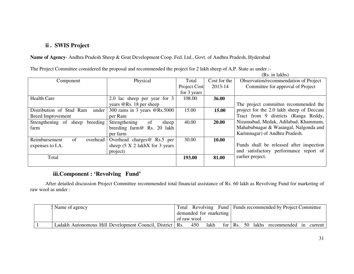#### **ii . SWIS Project**

**Name of Agency**- Andhra Pradesh Sheep & Goat Development Coop. Fed. Ltd., Govt. of Andhra Pradesh, Hyderabad

| The Project Committee considered the proposal and recommended the project for 2 lakh sheep of A.P. State as under :- |  |  |
|----------------------------------------------------------------------------------------------------------------------|--|--|
|                                                                                                                      |  |  |

(Rs. in lakhs)

| Component                         | Physical                                | Total        | Cost for the | Observation/recommendation of Project     |
|-----------------------------------|-----------------------------------------|--------------|--------------|-------------------------------------------|
|                                   |                                         | Project Cost | 2013-14      | Committee for approval of Project         |
|                                   |                                         | for 3 years  |              |                                           |
| <b>Health Care</b>                | 2.0 lac sheep per year for 3            | 108.00       | 36.00        |                                           |
|                                   | years $@$ Rs. 18 per sheep              |              |              | The project committee recommended the     |
| Distribution of Stud Ram<br>under | 300 rams in 3 years $@Rs.5000$          | 15.00        | 15.00        | project for the 2.0 lakh sheep of Deccani |
| <b>Breed Improvement</b>          | per Ram                                 |              |              | Tract from 9 districts (Ranga Reddy,      |
| Strengthening of sheep breeding   | Strengthening<br><sub>of</sub><br>sheep | 40.00        | 20.00        | Nizamabad, Medak, Adilabad, Khammam,      |
| farm                              | breeding farm@ Rs. 20 lakh              |              |              | Mahabubnagar & Warangal, Nalgonda and     |
|                                   | per farm                                |              |              | Karimnagar) of Andhra Pradesh.            |
| of<br>Reimbursement<br>overhead   | Overhead charges@ Rs.5 per              | 30.00        | 10.00        |                                           |
| expenses to I.A.                  | sheep $(5 \times 2)$ lakhX for 3 years  |              |              | Funds shall be released after inspection  |
|                                   | project)                                |              |              | and satisfactory performance report of    |
| Total                             |                                         | 193.00       | 81.00        | earlier project.                          |
|                                   |                                         |              |              |                                           |

## **iii.Component : 'Revolving Fund'**

 After detailed discussion Project Committee recommended total financial assistance of Rs. 60 lakh as Revolving Fund for marketing of raw wool as under :

|  | Name of agency                                             |  |  |                        |     |      |  |  | Total Revolving Fund   Funds recommended by Project Committee |  |
|--|------------------------------------------------------------|--|--|------------------------|-----|------|--|--|---------------------------------------------------------------|--|
|  |                                                            |  |  | demanded for marketing |     |      |  |  |                                                               |  |
|  |                                                            |  |  | of raw wool            |     |      |  |  |                                                               |  |
|  | Ladakh Autonomous Hill Development Council, District   Rs. |  |  |                        | 450 | lakh |  |  | for Rs. 50 lakhs recommended in current                       |  |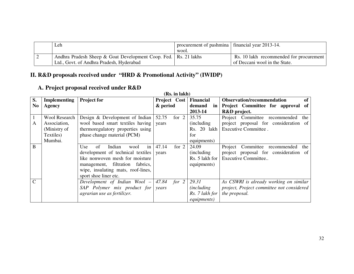|  | Leh                                                               | procurement of pashmina   financial year 2013-14.<br>wool. |                                         |
|--|-------------------------------------------------------------------|------------------------------------------------------------|-----------------------------------------|
|  | Andhra Pradesh Sheep & Goat Development Coop. Fed.   Rs. 21 lakhs |                                                            | Rs. 10 lakh recommended for procurement |
|  | Ltd., Govt. of Andhra Pradesh, Hyderabad                          |                                                            | of Deccani wool in the State.           |

# **II. R&D proposals received under "HRD & Promotional Activity" (IWIDP)**

## **A. Project proposal received under R&D**

|                | (Rs. in lakh)        |                                               |                  |                     |                                           |  |  |  |  |
|----------------|----------------------|-----------------------------------------------|------------------|---------------------|-------------------------------------------|--|--|--|--|
| S.             | <b>Implementing</b>  | <b>Project for</b>                            | Project Cost     | <b>Financial</b>    | <b>Observation/recommendation</b><br>of   |  |  |  |  |
| N <sub>o</sub> | Agency               |                                               | & period         | demand<br>in        | Project Committee for approval<br>of      |  |  |  |  |
|                |                      |                                               |                  | 2013-14             | R&D project.                              |  |  |  |  |
|                | <b>Wool Research</b> | Design & Development of Indian                | 52.75<br>for $2$ | 35.75               | Project Committee recommended<br>the      |  |  |  |  |
| A              | Association,         | wool based smart textiles having              | years            | (including)         | project proposal for consideration of     |  |  |  |  |
|                | (Ministry of         | thermoregulatory properties using             |                  | Rs. 20 lakh         | Executive Committee.                      |  |  |  |  |
|                | Textiles)            | phase change material (PCM)                   |                  | for                 |                                           |  |  |  |  |
|                | Mumbai.              |                                               |                  | equipments)         |                                           |  |  |  |  |
| B              |                      | of<br>Indian<br>$\frac{1}{2}$<br>wool<br>Use. | for $2$<br>47.14 | 24.09               | Committee recommended<br>Project<br>the   |  |  |  |  |
|                |                      | development of technical textiles vears       |                  | (including)         | project proposal for consideration of     |  |  |  |  |
|                |                      | like nonwoven mesh for moisture               |                  | Rs. 5 lakh for      | Executive Committee                       |  |  |  |  |
|                |                      | management, filtration<br>fabrics,            |                  | equipments)         |                                           |  |  |  |  |
|                |                      | wipe, insulating mats, roof-lines,            |                  |                     |                                           |  |  |  |  |
|                |                      | sport shoe liner etc.                         |                  |                     |                                           |  |  |  |  |
| $\mathcal{C}$  |                      | Development of Indian Wool $-$ 47.84 for 2    |                  | 29.31               | As CSWRI is already working on similar    |  |  |  |  |
|                |                      | $SAP$ Polymer mix product for                 | years            | <i>(including)</i>  | project, Project committee not considered |  |  |  |  |
|                |                      | agrarian use as fertilizer.                   |                  | Rs. 7 lakh for      | the proposal.                             |  |  |  |  |
|                |                      |                                               |                  | <i>equipments</i> ) |                                           |  |  |  |  |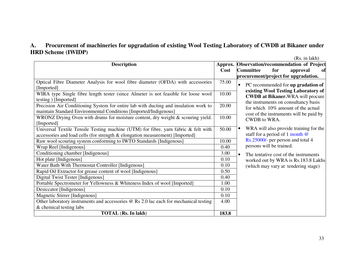#### **A. Procurement of machineries for upgradation of existing Wool Testing Laboratory of CWDB at Bikaner under HRD Scheme (IWIDP)**

(Rs. in lakh)

| <b>Description</b>                                                                    |       | Approx. Observation/recommendation of Project       |
|---------------------------------------------------------------------------------------|-------|-----------------------------------------------------|
|                                                                                       | Cost  | <b>Committee</b><br>for<br>approval<br>ofi          |
|                                                                                       |       | procurement/project for upgradation.                |
| Optical Fibre Diameter Analysis for wool fibre diameter (OFDA) with accessories       | 75.00 | PC recommended for up gradation of<br>$\bullet$     |
| [Imported]                                                                            |       | existing Wool Testing Laboratory of                 |
| WIRA type Single fibre length tester (since Almeter is not feasible for loose wool    | 10.00 | <b>CWDB at Bikaner.</b> WRA will procure            |
| testing ) [Imported]                                                                  |       | the instruments on consultancy basis                |
| Precision Air Conditioning System for entire lab with ducting and insulation work to  | 20.00 | for which 10% amount of the actual                  |
| maintain Standard Environmental Conditions [Imported/Indigenous]                      |       | cost of the instruments will be paid by             |
| WRONZ Drying Oven with drums for moisture content, dry weight & scouring yield.       | 10.00 | <b>CWDB</b> to WRA.                                 |
| [Imported]                                                                            |       |                                                     |
| Universal Textile Tensile Testing machine (UTM) for fibre, yarn fabric & felt with    | 50.00 | WRA will also provide training for the<br>$\bullet$ |
| accessories and load cells (for strength & elongation measurement) [Imported]         |       | staff for a period of 1 month $@$                   |
| Raw wool scouring system conforming to IWTO Standards [Indigenous]                    | 10.00 | Rs.25000/- per person and total 4                   |
| Wrap Reel [Indigenous]                                                                | 0.40  | persons will be trained.                            |
| Conditioning chamber [Indigenous]                                                     | 3.00  | The tentative cost of the instruments<br>$\bullet$  |
| Hot plate [Indigenous]                                                                | 0.10  | worked out by WRA is Rs.183.8 Lakhs                 |
| Water Bath With Thermostat Controller [Indigenous]                                    | 0.10  | (which may vary at tendering stage)                 |
| Rapid Oil Extractor for grease content of wool [Indigenous]                           | 0.50  |                                                     |
| Digital Twist Tester [Indigenous]                                                     | 0.40  |                                                     |
| Portable Spectrometer for Yellowness & Whiteness Index of wool [Imported]             |       |                                                     |
| Desiccator [Indigenous]                                                               | 0.10  |                                                     |
| Magnetic Stirrer [Indigenous]                                                         | 0.10  |                                                     |
| Other laboratory instruments and accessories @ Rs 2.0 lac each for mechanical testing | 4.00  |                                                     |
| & chemical testing labs                                                               |       |                                                     |
| <b>TOTAL</b> (Rs. In lakh)                                                            | 183.8 |                                                     |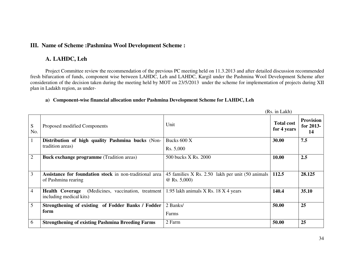#### **III. Name of Scheme :Pashmina Wool Development Scheme :**

#### **A. LAHDC, Leh**

Project Committee review the recommendation of the previous PC meeting held on 11.3.2013 and after detailed discussion recommended fresh bifurcation of funds, component wise between LAHDC, Leh and LAHDC, Kargil under the Pashmina Wool Development Scheme after consideration of the decision taken during the meeting held by MOT on 23/5/2013 under the scheme for implementation of projects during XII plan in Ladakh region, as under-

#### **a) Component-wise financial allocation under Pashmina Development Scheme for LAHDC, Leh**

|                |                                                                                         |                                                                     | (Rs. in Lakh)                    |                                       |
|----------------|-----------------------------------------------------------------------------------------|---------------------------------------------------------------------|----------------------------------|---------------------------------------|
| S<br>No.       | Proposed modified Components                                                            | Unit                                                                | <b>Total cost</b><br>for 4 years | <b>Provision</b><br>for $2013-$<br>14 |
| $\perp$        | Distribution of high quality Pashmina bucks (Non-                                       | Bucks 600 X                                                         | 30.00                            | 7.5                                   |
|                | tradition areas)                                                                        | Rs. 5,000                                                           |                                  |                                       |
| $\overline{2}$ | <b>Buck exchange programme (Tradition areas)</b>                                        | 500 bucks X Rs. 2000                                                | 10.00                            | 2.5                                   |
| 3              | Assistance for foundation stock in non-traditional area<br>of Pashmina rearing          | 45 families X Rs. 2.50 lakh per unit (50 animals)<br>$@$ Rs. 5,000) | 112.5                            | 28.125                                |
| $\overline{4}$ | (Medicines, vaccination, treatment<br><b>Health Coverage</b><br>including medical kits) | 1.95 lakh animals X Rs. 18 X 4 years                                | 140.4                            | 35.10                                 |
| 5              | Strengthening of existing of Fodder Banks / Fodder                                      | 2 Banks/                                                            | 50.00                            | 25                                    |
|                | form                                                                                    | Farms                                                               |                                  |                                       |
| 6              | <b>Strengthening of existing Pashmina Breeding Farms</b>                                | 2 Farm                                                              | 50.00                            | 25                                    |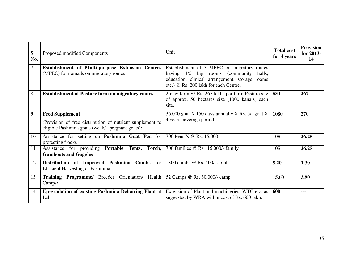| S<br>No. | Proposed modified Components                                                                                                           | Unit                                                                                                                                                                                | <b>Total cost</b><br>for 4 years | <b>Provision</b><br>for 2013-<br>14 |
|----------|----------------------------------------------------------------------------------------------------------------------------------------|-------------------------------------------------------------------------------------------------------------------------------------------------------------------------------------|----------------------------------|-------------------------------------|
| 7        | Establishment of Multi-purpose Extension Centres<br>(MPEC) for nomads on migratory routes                                              | Establishment of 3 MPEC on migratory routes<br>having 4/5 big rooms (community<br>halls,<br>education, clinical arrangement, storage rooms<br>etc.) @ Rs. 200 lakh for each Centre. |                                  |                                     |
| 8        | <b>Establishment of Pasture farm on migratory routes</b>                                                                               | 2 new farm @ Rs. 267 lakhs per farm Pasture site<br>of approx. 50 hectares size (1000 kanals) each<br>site.                                                                         | 534                              | 267                                 |
| 9        | <b>Feed Supplement</b><br>(Provision of free distribution of nutrient supplement to<br>eligible Pashmina goats (weak/ pregnant goats): | 36,000 goat X 150 days annually X Rs. $5/-$ goat X<br>4 years coverage period                                                                                                       | 1080                             | 270                                 |
| 10       | Assistance for setting up Pashmina Goat Pen for<br>protecting flocks                                                                   | 700 Pens X @ Rs. 15,000                                                                                                                                                             | 105                              | 26.25                               |
| 11       | Assistance for providing Portable Tents, Torch,<br><b>Gumboots and Goggles</b>                                                         | 700 families @ Rs. 15,000/- family                                                                                                                                                  | 105                              | 26.25                               |
| 12       | Distribution of Improved Pashmina Combs for<br><b>Efficient Harvesting of Pashmina</b>                                                 | 1300 combs @ Rs. 400/- comb                                                                                                                                                         | 5.20                             | 1.30                                |
| 13       | Training Programme/ Breeder Orientation/ Health<br>Camps/                                                                              | 52 Camps @ Rs. 30,000/- camp                                                                                                                                                        | 15.60                            | 3.90                                |
| 14       | Up-gradation of existing Pashmina Dehairing Plant at<br>Leh                                                                            | Extension of Plant and machineries, WTC etc. as<br>suggested by WRA within cost of Rs. 600 lakh.                                                                                    | 600                              | ---                                 |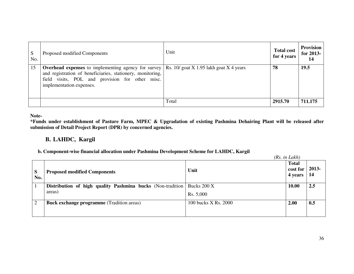| S<br>No. | Proposed modified Components                                                                                                                                                                            | Unit                                        | <b>Total cost</b><br>for 4 years | <b>Provision</b><br>for 2013-<br>14 |
|----------|---------------------------------------------------------------------------------------------------------------------------------------------------------------------------------------------------------|---------------------------------------------|----------------------------------|-------------------------------------|
| 15       | <b>Overhead expenses</b> to implementing agency for survey<br>and registration of beneficiaries, stationery, monitoring,<br>field visits, POL and provision for other misc.<br>implementation expenses. | Rs. 10/ goat $X$ 1.95 lakh goat $X$ 4 years | 78                               | 19.5                                |
|          |                                                                                                                                                                                                         | Total                                       | 2915.70                          | 711.175                             |

**Note-** 

 **\*Funds under establishment of Pasture Farm, MPEC & Upgradation of existing Pashmina Dehairing Plant will be released after submission of Detail Project Report (DPR) by concerned agencies.** 

## **B. LAHDC, Kargil**

#### **b. Component-wise financial allocation under Pashmina Development Scheme for LAHDC, Kargil**

| S<br>No. | <b>Proposed modified Components</b>                                   | Unit                     | (Rs. in Lakh)<br><b>Total</b><br>cost for<br>4 years | 2013-<br>-14 |
|----------|-----------------------------------------------------------------------|--------------------------|------------------------------------------------------|--------------|
|          | Distribution of high quality Pashmina bucks (Non-tradition)<br>areas) | Bucks 200 X<br>Rs. 5,000 | 10.00                                                | 2.5          |
| 2        | <b>Buck exchange programme</b> (Tradition areas)                      | 100 bucks X Rs. 2000     | 2.00                                                 | 0.5          |
|          |                                                                       |                          |                                                      |              |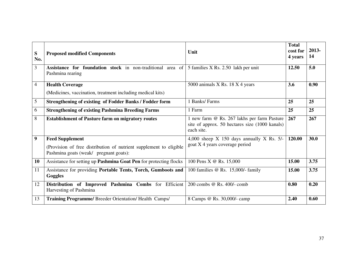| S<br>No.         | <b>Proposed modified Components</b>                                                                                                    | Unit                                                                                                        | <b>Total</b><br>cost for<br>4 years | 2013-<br>14 |
|------------------|----------------------------------------------------------------------------------------------------------------------------------------|-------------------------------------------------------------------------------------------------------------|-------------------------------------|-------------|
| 3                | Assistance for foundation stock in non-traditional area of<br>Pashmina rearing                                                         | 5 families X Rs. 2.50 lakh per unit                                                                         | 12.50                               | 5.0         |
| 4                | <b>Health Coverage</b><br>(Medicines, vaccination, treatment including medical kits)                                                   | 5000 animals X Rs. 18 X 4 years                                                                             | 3.6                                 | 0.90        |
| 5                | <b>Strengthening of existing of Fodder Banks / Fodder form</b>                                                                         | 1 Banks/Farms                                                                                               | 25                                  | 25          |
| 6                | <b>Strengthening of existing Pashmina Breeding Farms</b>                                                                               | 1 Farm                                                                                                      | 25                                  | 25          |
| 8                | <b>Establishment of Pasture farm on migratory routes</b>                                                                               | 1 new farm @ Rs. 267 lakhs per farm Pasture<br>site of approx. 50 hectares size (1000 kanals)<br>each site. | 267                                 | 267         |
| $\boldsymbol{9}$ | <b>Feed Supplement</b><br>(Provision of free distribution of nutrient supplement to eligible<br>Pashmina goats (weak/ pregnant goats): | 4,000 sheep $X$ 150 days annually $X$ Rs. 5/-<br>goat X 4 years coverage period                             | 120.00                              | 30.0        |
| 10               | Assistance for setting up Pashmina Goat Pen for protecting flocks                                                                      | 100 Pens X @ Rs. 15,000                                                                                     | 15.00                               | 3.75        |
| 11               | Assistance for providing Portable Tents, Torch, Gumboots and<br>Goggles                                                                | 100 families @ Rs. 15,000/- family                                                                          | 15.00                               | 3.75        |
| 12               | Distribution of Improved Pashmina Combs for Efficient<br>Harvesting of Pashmina                                                        | 200 combs @ Rs. 400/- comb                                                                                  | 0.80                                | 0.20        |
| 13               | Training Programme/ Breeder Orientation/ Health Camps/                                                                                 | 8 Camps @ Rs. 30,000/- camp                                                                                 | 2.40                                | 0.60        |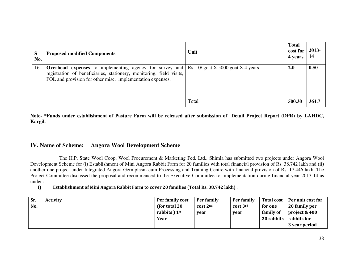| S<br>No. | <b>Proposed modified Components</b>                                                                                                                                                                  | Unit                                | <b>Total</b><br>cost for<br>4 years | 2013-<br>-14 |
|----------|------------------------------------------------------------------------------------------------------------------------------------------------------------------------------------------------------|-------------------------------------|-------------------------------------|--------------|
| 16       | <b>Overhead expenses</b> to implementing agency for survey and<br>registration of beneficiaries, stationery, monitoring, field visits,<br>POL and provision for other misc. implementation expenses. | Rs. $10$ goat X 5000 goat X 4 years | 2.0                                 | 0.50         |
|          |                                                                                                                                                                                                      | Total                               | 500.30                              | 364.7        |

**Note- \*Funds under establishment of Pasture Farm will be released after submission of Detail Project Report (DPR) by LAHDC, Kargil.** 

#### **IV. Name of Scheme:Angora Wool Development Scheme**

 The H.P. State Wool Coop. Wool Procurement & Marketing Fed. Ltd., Shimla has submitted two projects under Angora Wool Development Scheme for (i) Establishment of Mini Angora Rabbit Farm for 20 families with total financial provision of Rs. 38.742 lakh and (ii) another one project under Integrated Angora Germplasm-cum-Processing and Training Centre with financial provision of Rs. 17.446 lakh. The Project Committee discussed the proposal and recommenced to the Executive Committee for implementation during financial year 2013-14 as under :

I)Establishment of Mini Angora Rabbit Farm to cover 20 families (Total Rs. 38.742 lakh) :

| Sr. | <b>Activity</b> | Per family cost | Per family   | Per family | <b>Total cost</b> | Per unit cost for |
|-----|-----------------|-----------------|--------------|------------|-------------------|-------------------|
| No. |                 | (for total 20)  | $cost$ $2nd$ | cost 3rd   | for one           | 20 family per     |
|     |                 | rabbits $1st$   | vear         | year       | family of         | project & 400     |
|     |                 | Year            |              |            | 20 rabbits        | rabbits for       |
|     |                 |                 |              |            |                   | 3 year period     |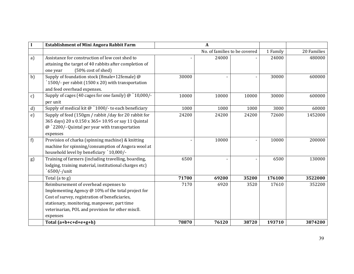|               | <b>Establishment of Mini Angora Rabbit Farm</b>                                                                                                                                                                                                               |       | A                             |       |          |             |
|---------------|---------------------------------------------------------------------------------------------------------------------------------------------------------------------------------------------------------------------------------------------------------------|-------|-------------------------------|-------|----------|-------------|
|               |                                                                                                                                                                                                                                                               |       | No. of families to be covered |       | 1 Family | 20 Families |
| a)            | Assistance for construction of low cost shed to<br>attaining the target of 40 rabbits after completion of<br>(50% cost of shed)<br>one year                                                                                                                   |       | 24000                         |       | 24000    | 480000      |
| b)            | Supply of foundation stock (8male+12female) @<br>1500/- per rabbit (1500 x 20) with transportation<br>and feed overhead expenses.                                                                                                                             | 30000 |                               |       | 30000    | 600000      |
| $\mathbf{c})$ | Supply of cages (40 cages for one family) @ `10,000/-<br>per unit                                                                                                                                                                                             | 10000 | 10000                         | 10000 | 30000    | 600000      |
| d)            | Supply of medical kit $@$ `1000/- to each beneficiary                                                                                                                                                                                                         | 1000  | 1000                          | 1000  | 3000     | 60000       |
| e)            | Supply of feed (150gm / rabbit /day for 20 rabbit for<br>365 days) 20 x 0.150 x 365= 10.95 or say 11 Quintal<br>@ `2200/- Quintal per year with transportation<br>expenses                                                                                    | 24200 | 24200                         | 24200 | 72600    | 1452000     |
| f)            | Provision of charka (spinning machine) & knitting<br>machine for spinning/consumption of Angora wool at<br>household level by beneficiary `10,000/-                                                                                                           |       | 10000                         |       | 10000    | 200000      |
| g)            | Training of farmers (including travelling, boarding,<br>lodging, training material, institutional charges etc)<br>6500/-/unit                                                                                                                                 | 6500  |                               |       | 6500     | 130000      |
|               | Total (a to g)                                                                                                                                                                                                                                                | 71700 | 69200                         | 35200 | 176100   | 3522000     |
|               | Reimbursement of overhead expenses to<br>Implementing Agency @ 10% of the total project for<br>Cost of survey, registration of beneficiaries,<br>stationary, monitoring, manpower, part time<br>veterinarian, POL and provision for other miscll.<br>expenses | 7170  | 6920                          | 3520  | 17610    | 352200      |
|               | Total $(a+b+c+d+e+g+h)$                                                                                                                                                                                                                                       | 78870 | 76120                         | 38720 | 193710   | 3874200     |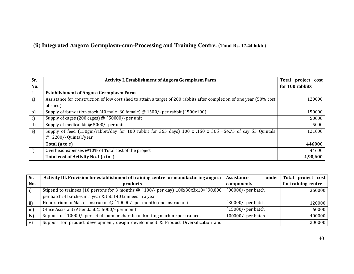## **(ii) Integrated Angora Germplasm-cum-Processing and Training Centre. (Total Rs. 17.44 lakh )**

| Sr.          | <b>Activity I. Establishment of Angora Germplasm Farm</b>                                                             | Total project cost |
|--------------|-----------------------------------------------------------------------------------------------------------------------|--------------------|
| No.          |                                                                                                                       | for 100 rabbits    |
|              | <b>Establishment of Angora Germplasm Farm</b>                                                                         |                    |
| a)           | Assistance for construction of low cost shed to attain a target of 200 rabbits after completion of one year (50% cost | 120000             |
|              | of shed)                                                                                                              |                    |
| b)           | Supply of foundation stock (40 male+60 female) @ 1500/- per rabbit (1500x100)                                         | 150000             |
| c)           | Supply of cages (200 cages) $\omega$ `50000/- per unit                                                                | 50000              |
| d)           | Supply of medical kit @ 5000/- per unit                                                                               | 5000               |
| $\epsilon$ ) | Supply of feed (150gm/rabbit/day for 100 rabbit for 365 days) 100 x .150 x 365 =54.75 of say 55 Quintals              | 121000             |
|              | $@$ 2200/- Quintal/year                                                                                               |                    |
|              | Total (a to e)                                                                                                        | 446000             |
| f)           | Overhead expenses @10% of Total cost of the project                                                                   | 44600              |
|              | Total cost of Activity No. I (a to f)                                                                                 | 4,90,600           |

| Sr.           | Activity III. Provision for establishment of training centre for manufacturing angora     | Assistance<br>under | project $cost$<br>Total |
|---------------|-------------------------------------------------------------------------------------------|---------------------|-------------------------|
| No.           | products                                                                                  | components          | for training centre     |
| i)            | Stipend to trainees (10 persons for 3 months $\omega$ `100/- per day) 100x30x3x10=`90,000 | 90000/- per batch   | 360000                  |
|               | per batch: 4 batches in a year & total 40 trainees in a year                              |                     |                         |
| $\mathbf{ii}$ | Honorarium to Master Instructor $\omega$ '10000/- per month (one instructor)              | 30000/- per batch   | 120000                  |
| iii)          | Office Assistant/Attendant @ 5000/- per month                                             | 15000/- per batch   | 60000                   |
| iv)           | Support of `10000/- per set of loom or charkha or knitting machine per trainees           | 100000/- per batch  | 400000                  |
| v)            | Support for product development, design development & Product Diversification and         |                     | 200000                  |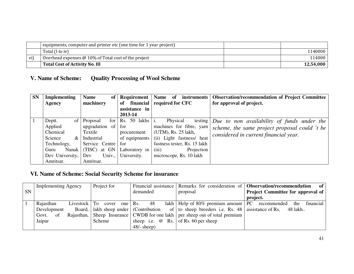|     | equipments, computer and printer etc (one time for 1 year project) |           |
|-----|--------------------------------------------------------------------|-----------|
|     | Total (I to iv)                                                    | 1140000   |
| vi) | Overhead expenses $@10\%$ of Total cost of the project             | 114000    |
|     | Total Cost of Activity No. III                                     | 12.54.000 |

#### **V. Name of Scheme:Quality Processing of Wool Scheme**

| <b>SN</b> | <b>Implementing</b> | <b>Name</b><br>of       |                          | <b>Requirement</b>           |                                                                   | <b>Name</b><br><i>instruments</i><br>-of | <b>Observation/recommendation of Project Committee</b> |  |  |
|-----------|---------------------|-------------------------|--------------------------|------------------------------|-------------------------------------------------------------------|------------------------------------------|--------------------------------------------------------|--|--|
|           | Agency              | machinery               | of                       | financial required for CFC   | for approval of project.                                          |                                          |                                                        |  |  |
|           |                     |                         | assistance in            |                              |                                                                   |                                          |                                                        |  |  |
|           |                     |                         | 2013-14                  |                              |                                                                   |                                          |                                                        |  |  |
|           | Deptt.<br>of 1      | Proposal<br>for         | $\text{Rs.}$ 50 lakhs i. | Physical                     | testing $\vert$ <i>Due to non availability of funds under the</i> |                                          |                                                        |  |  |
|           | Applied             | upgradation of          | for                      | machines for fibre, yarn     | scheme, the same project proposal could 't be                     |                                          |                                                        |  |  |
|           | Chemical            | Textile                 | procurement              | (UTM), Rs. 25 lakh,          | considered in current financial year.                             |                                          |                                                        |  |  |
|           | Science<br>$\&$     | Industrial              | of equipments            | (ii) Light fastness/ heat    |                                                                   |                                          |                                                        |  |  |
|           | Technology,         | Service Centre          | for                      | fastness tester, Rs. 15 lakh |                                                                   |                                          |                                                        |  |  |
|           | Guru                | at GN<br>Nanak $(TISC)$ | Laboratory in            | Projection<br>(iii)          |                                                                   |                                          |                                                        |  |  |
|           | Dev University, Dev | Univ.,                  | University.              | microscope, Rs. 10 lakh      |                                                                   |                                          |                                                        |  |  |
|           | Amritsar.           | Amritsar.               |                          |                              |                                                                   |                                          |                                                        |  |  |

## **VI. Name of Scheme: Social Security Scheme for insurance**

|           | Project for<br><b>Implementing Agency</b> |     |                                           |               | Financial assistance Remarks for consideration of <b>Observation/recommendation</b> |                 |                                          |    | - of                                                                            |          |  |     |           |
|-----------|-------------------------------------------|-----|-------------------------------------------|---------------|-------------------------------------------------------------------------------------|-----------------|------------------------------------------|----|---------------------------------------------------------------------------------|----------|--|-----|-----------|
| <b>SN</b> |                                           |     |                                           | demanded      |                                                                                     | proposal        | <b>Project Committee for approval of</b> |    |                                                                                 |          |  |     |           |
|           |                                           |     |                                           |               |                                                                                     |                 |                                          |    |                                                                                 | project. |  |     |           |
|           | Rajasthan                                 |     | Livestock To                              |               | cover                                                                               | one $\vert$ Rs. |                                          | 48 | lakh   Help of $80\%$ premium amount   PC recommended                           |          |  | the | financial |
|           | Development                               |     | Board,   lakh sheep under   (Contribution |               |                                                                                     |                 |                                          |    | of $\vert$ to sheep breeders i.e. Rs. 48 assistance of Rs. 48 lakh              |          |  |     |           |
|           | Govt.                                     | -of |                                           |               |                                                                                     |                 |                                          |    | Rajasthan, Sheep Insurance   CWDB for one lakh   per sheep out of total premium |          |  |     |           |
|           | Jaipur                                    |     |                                           | <b>Scheme</b> |                                                                                     |                 |                                          |    | sheep i.e. $\omega$ Rs. of Rs. 60 per sheep                                     |          |  |     |           |
|           |                                           |     |                                           |               |                                                                                     |                 | $48/-$ sheep)                            |    |                                                                                 |          |  |     |           |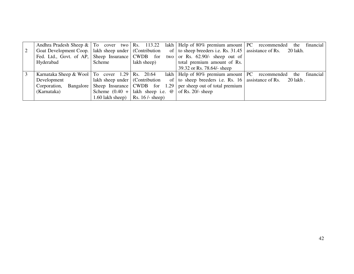|                |                                                           |                                           |                                                                                                        | Andhra Pradesh Sheep $\&$   To cover two   Rs. 113.22 lakh   Help of 80% premium amount   PC recommended | financial<br>the |
|----------------|-----------------------------------------------------------|-------------------------------------------|--------------------------------------------------------------------------------------------------------|----------------------------------------------------------------------------------------------------------|------------------|
| <sup>2</sup>   | Goat Development Coop.   lakh sheep under   (Contribution |                                           |                                                                                                        | of $\vert$ to sheep breeders i.e. Rs. 31.45 $\vert$ assistance of Rs. 20 lakh.                           |                  |
|                | Fed. Ltd., Govt. of AP, Sheep Insurance   CWDB for        |                                           |                                                                                                        | two or Rs. $62.90/-$ sheep out of                                                                        |                  |
|                | Hyderabad                                                 | Scheme                                    | lakh sheep)                                                                                            | total premium amount of Rs.                                                                              |                  |
|                |                                                           |                                           |                                                                                                        | 39.32 or Rs. 78.64/- sheep                                                                               |                  |
| $\overline{3}$ | Karnataka Sheep & Wool   To cover $1.29$   Rs. $20.64$    |                                           |                                                                                                        | lakh   Help of 80% premium amount   PC recommended                                                       | financial<br>the |
|                | Development                                               | lakh sheep under $\vert$ (Contribution    |                                                                                                        | of $\vert$ to sheep breeders i.e. Rs. 16 assistance of Rs. 20 lakh.                                      |                  |
|                | Corporation,                                              |                                           |                                                                                                        | Bangalore   Sheep Insurance   CWDB for $1.29$   per sheep out of total premium                           |                  |
|                | (Karnataka)                                               |                                           | Scheme $(0.40 +  \text{lakh} \text{ sheep i.e. } \textcircled{e}   \text{of Rs. } 20/2 \text{ sheep})$ |                                                                                                          |                  |
|                |                                                           | 1.60 lakh sheep) $\vert$ Rs. 16 /- sheep) |                                                                                                        |                                                                                                          |                  |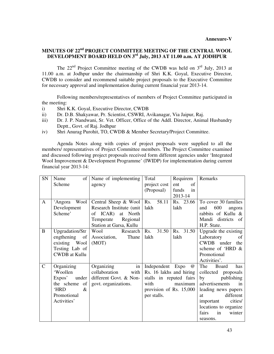#### **MINUTES OF 22nd PROJECT COMMITTEE MEETING OF THE CENTRAL WOOL DEVELOPMENT BOARD HELD ON 3rd July, 2013 AT 11.00 a.m. AT JODHPUR**

The  $22<sup>nd</sup>$  Project Committee meeting of the CWDB was held on  $3<sup>rd</sup>$  July, 2013 at 11.00 a.m. at Jodhpur under the chairmanship of Shri K.K. Goyal, Executive Director, CWDB to consider and recommend suitable project proposals to the Executive Committee for necessary approval and implementation during current financial year 2013-14.

 Following members/representatives of members of Project Committee participated in the meeting:

- i) Shri K.K. Goyal, Executive Director, CWDB
- ii) Dr. D.B. Shakyawar, Pr. Scientist, CSWRI, Avikanagar, Via Jaipur, Raj.
- iii) Dr. J. P. Nandwani, Sr. Vet. Officer, Office of the Addl. Director, Animal Husbandry Deptt., Govt. of Raj. Jodhpur
- iv) Shri Anurag Purohit, TO, CWDB & Member Secretary/Project Committee.

 Agenda Notes along with copies of project proposals were supplied to all the members/ representatives of Project Committee members. The Project Committee examined and discussed following project proposals received form different agencies under 'Integrated Wool Improvement & Development Programme' (IWIDP) for implementation during current financial year 2013-14:

| SN            | of<br>Name           | Name of implementing      | Total                   | Requirem        | Remarks               |
|---------------|----------------------|---------------------------|-------------------------|-----------------|-----------------------|
|               | Scheme               | agency                    | project cost            | of<br>ent       |                       |
|               |                      |                           | (Proposal)              | funds<br>in     |                       |
|               |                      |                           |                         | 2013-14         |                       |
| $\mathbf{A}$  | Wool<br>'Angora      | Central Sheep & Wool      | 58.11<br>Rs.            | Rs. 23.66       | To cover 30 families  |
|               | Development          | Research Institute (unit) | lakh                    | lakh            | 600<br>and<br>angora  |
|               | Scheme'              | of ICAR)<br>at North      |                         |                 | rabbits of Kullu &    |
|               |                      | Temperate<br>Regional     |                         |                 | Mandi districts of    |
|               |                      | Station at Garsa, Kullu   |                         |                 | H.P. State.           |
| B             | Upgradation/Str      | Wool<br>Research          | 31.50<br>Rs.            | 31.50<br>Rs.    | Upgrade the existing  |
|               | engthening<br>of     | Thane<br>Association,     | lakh                    | lakh            | Laboratory<br>of      |
|               | existing Wool        | (MOT)                     |                         |                 | CWDB under<br>the     |
|               | Testing Lab of       |                           |                         |                 | scheme of 'HRD &      |
|               | <b>CWDB</b> at Kullu |                           |                         |                 | Promotional           |
|               |                      |                           |                         |                 | Activities'.          |
| $\mathcal{C}$ | Organizing           | in<br>Organizing          | Independent Expo        | $^{\copyright}$ | The<br>has<br>Board   |
|               | 'Woollen             | collaboration<br>with     | Rs. 16 lakhs and hiring |                 | collected proposals   |
|               | Expos'<br>under      | different Govt. & Non-    | stalls in reputed fairs |                 | by<br>publishing      |
|               | of<br>the scheme     | govt. organizations.      | with                    | maximum         | advertisements<br>in  |
|               | <b>HRD</b><br>&      |                           | provision of Rs. 15,000 |                 | leading news papers   |
|               | Promotional          |                           | per stalls.             |                 | different<br>at       |
|               | Activities'          |                           |                         |                 | cities/<br>important  |
|               |                      |                           |                         |                 | locations to organize |
|               |                      |                           |                         |                 | fairs<br>in<br>winter |
|               |                      |                           |                         |                 | seasons.              |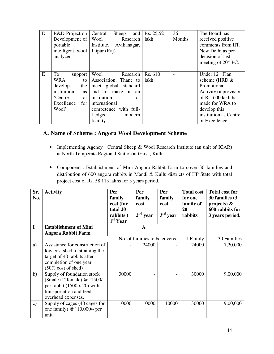| D | R&D Project on    | and<br>Central<br>Sheep   | Rs. 25.52 | 36     | The Board has          |
|---|-------------------|---------------------------|-----------|--------|------------------------|
|   | Development of    | Wool<br>Research          | lakh      | Months | received positive      |
|   | portable          | Institute,<br>Avikanagar, |           |        | comments from IIT,     |
|   | intelligent wool  | Jaipur (Raj)              |           |        | New Delhi as per       |
|   | analyzer          |                           |           |        | decision of last       |
|   |                   |                           |           |        | meeting of $20th PC$ . |
|   |                   |                           |           |        |                        |
| E | To<br>support     | Wool<br>Research          | Rs. 610   |        | Under $12^{th}$ Plan   |
|   | WRA<br>to         | Association, Thane to     | lakh      |        | scheme (HRD &          |
|   | develop<br>the    | meet global standard      |           |        | Promotional            |
|   | institution<br>as | and to make it<br>an      |           |        | Activity) a provision  |
|   | of<br>'Centre     | institution<br>оf         |           |        | of Rs. 600 lakh has    |
|   | Excellence<br>for | international             |           |        | made for WRA to        |
|   | Wool'             | competence with full-     |           |        | develop this           |
|   |                   | fledged<br>modern         |           |        | institution as Centre  |
|   |                   | facility.                 |           |        | of Excellence.         |

#### **A. Name of Scheme : Angora Wool Development Scheme**

- Implementing Agency : Central Sheep & Wool Research Institute (an unit of ICAR) at North Temperate Regional Station at Garsa, Kullu.
- Component : Establishment of Mini Angora Rabbit Farm to cover 30 families and distribution of 600 angora rabbits in Mandi & Kullu districts of HP State with total project cost of Rs. 58.113 lakhs for 3 years period.

| Sr.<br>No.    | <b>Activity</b>                                                                                                                                 | <b>Per</b><br>family<br>cost (for<br>total 20<br>rabbits)<br>$1st$ Year | Per<br>family<br>cost<br>$2nd$ year | Per<br>family<br>cost<br>$3rd$ year | <b>Total cost</b><br>for one<br>family of<br>20<br>rabbits | <b>Total cost for</b><br>30 families (3)<br>projects) $\&$<br>600 rabbits for<br>3 years period. |
|---------------|-------------------------------------------------------------------------------------------------------------------------------------------------|-------------------------------------------------------------------------|-------------------------------------|-------------------------------------|------------------------------------------------------------|--------------------------------------------------------------------------------------------------|
| I             | <b>Establishment of Mini</b>                                                                                                                    |                                                                         | $\mathbf A$                         |                                     |                                                            |                                                                                                  |
|               | <b>Angora Rabbit Farm</b>                                                                                                                       |                                                                         |                                     |                                     |                                                            |                                                                                                  |
|               |                                                                                                                                                 |                                                                         | No. of families to be covered       |                                     | 1 Family                                                   | 30 Families                                                                                      |
| a)            | Assistance for construction of<br>low cost shed to attaining the<br>target of 40 rabbits after<br>completion of one year<br>(50% cost of shed)  |                                                                         | 24000                               |                                     | 24000                                                      | 7,20,000                                                                                         |
| b)            | Supply of foundation stock<br>(8male+12female) @ `1500/-<br>per rabbit $(1500 \times 20)$ with<br>transportation and feed<br>overhead expenses. | 30000                                                                   |                                     |                                     | 30000                                                      | 9,00,000                                                                                         |
| $\mathbf{c})$ | Supply of cages (40 cages for<br>one family) $@$ `10,000/- per<br>unit                                                                          | 10000                                                                   | 10000                               | 10000                               | 30000                                                      | 9,00,000                                                                                         |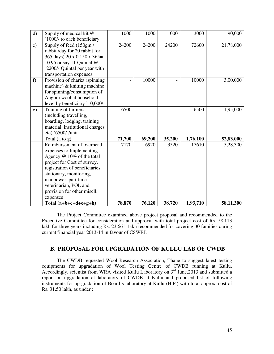| $\mathbf{d}$ | Supply of medical kit @<br>`1000/- to each beneficiary                                                                                                                                                                                                                    | 1000   | 1000   | 1000   | 3000     | 90,000    |
|--------------|---------------------------------------------------------------------------------------------------------------------------------------------------------------------------------------------------------------------------------------------------------------------------|--------|--------|--------|----------|-----------|
| e)           | Supply of feed (150gm/<br>rabbit /day for 20 rabbit for<br>365 days) 20 x 0.150 x 365=<br>10.95 or say 11 Quintal @<br>2200/- Quintal per year with                                                                                                                       | 24200  | 24200  | 24200  | 72600    | 21,78,000 |
| f)           | transportation expenses<br>Provision of charka (spinning<br>machine) $&$ knitting machine<br>for spinning/consumption of<br>Angora wool at household<br>level by beneficiary '10,000/-                                                                                    |        | 10000  |        | 10000    | 3,00,000  |
| g)           | Training of farmers<br>(including travelling,<br>boarding, lodging, training<br>material, institutional charges<br>etc) `6500/-/unit                                                                                                                                      | 6500   |        |        | 6500     | 1,95,000  |
|              | Total $(a \text{ to } g)$                                                                                                                                                                                                                                                 | 71,700 | 69,200 | 35,200 | 1,76,100 | 52,83,000 |
|              | Reimbursement of overhead<br>expenses to Implementing<br>Agency @ 10% of the total<br>project for Cost of survey,<br>registration of beneficiaries,<br>stationary, monitoring,<br>manpower, part time<br>veterinarian, POL and<br>provision for other miscll.<br>expenses | 7170   | 6920   | 3520   | 17610    | 5,28,300  |
|              | Total (a+b+c+d+e+g+h)                                                                                                                                                                                                                                                     | 78,870 | 76,120 | 38,720 | 1,93,710 | 58,11,300 |

 The Project Committee examined above project proposal and recommended to the Executive Committee for consideration and approval with total project cost of Rs. 58.113 lakh for three years including Rs. 23.661 lakh recommended for covering 30 families during current financial year 2013-14 in favour of CSWRI.

#### **B. PROPOSAL FOR UPGRADATION OF KULLU LAB OF CWDB**

 The CWDB requested Wool Research Association, Thane to suggest latest testing equipments for upgradation of Wool Testing Centre of CWDB running at Kullu. Accordingly, scientist from WRA visited Kullu Laboratory on 3<sup>rd</sup> June,2013 and submitted a report on upgradation of laboratory of CWDB at Kullu and proposed list of following instruments for up-gradation of Board's laboratory at Kullu (H.P.) with total approx. cost of Rs. 31.50 lakh, as under :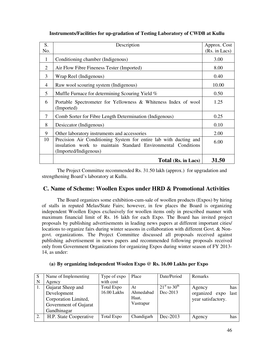| S.             | Description                                                                                                                                                 | Approx. Cost  |
|----------------|-------------------------------------------------------------------------------------------------------------------------------------------------------------|---------------|
| No.            |                                                                                                                                                             | (Rs. in Lacs) |
| 1              | Conditioning chamber (Indigenous)                                                                                                                           | 3.00          |
| 2              | Air Flow Fibre Fineness Tester (Imported)                                                                                                                   | 8.00          |
| 3              | Wrap Reel (Indigenous)                                                                                                                                      | 0.40          |
| $\overline{4}$ | Raw wool scouring system (Indigenous)                                                                                                                       | 10.00         |
| 5              | Muffle Furnace for determining Scouring Yield %                                                                                                             | 0.50          |
| 6              | Portable Spectrometer for Yellowness & Whiteness Index of wool<br>(Imported)                                                                                | 1.25          |
| 7              | Comb Sorter for Fibre Length Determination (Indigenous)                                                                                                     | 0.25          |
| 8              | Desiccator (Indigenous)                                                                                                                                     | 0.10          |
| 9              | Other laboratory instruments and accessories                                                                                                                | 2.00          |
| 10             | Precision Air Conditioning System for entire lab with ducting and<br>insulation work to maintain Standard Environmental Conditions<br>(Imported/Indigenous) | 6.00          |
|                | Total (Rs. in Lacs)                                                                                                                                         | 31.50         |

#### **Instruments/Facilities for up-gradation of Testing Laboratory of CWDB at Kullu**

 The Project Committee recommended Rs. 31.50 lakh (approx.) for upgradation and strengthening Board's laboratory at Kullu.

#### **C. Name of Scheme: Woollen Expos under HRD & Promotional Activities**

 The Board organizes some exhibition-cum-sale of woollen products (Expos) by hiring of stalls in reputed Melas/State Fairs; however, in few places the Board is organizing independent Woollen Expos exclusively for woollen items only in prescribed manner with maximum financial limit of Rs. 16 lakh for each Expo. The Board has invited project proposals by publishing advertisements in leading news papers at different important cities/ locations to organize fairs during winter seasons in collaboration with different Govt. & Nongovt. organizations. The Project Committee discussed all proposals received against publishing advertisement in news papers and recommended following proposals received only from Government Organizations for organizing Expos during winter season of FY 2013- 14, as under:

| S  | Name of Implementing   | Type of expo | Place      | Date/Period                    | Remarks            |      |
|----|------------------------|--------------|------------|--------------------------------|--------------------|------|
| N  | Agency                 | with cost    |            |                                |                    |      |
|    | Gujarat Sheep and      | Total Expo   | At         | $21^{\rm st}$ to $30^{\rm th}$ | Agency             | has  |
|    | Development            | 16.00 Lakhs  | Ahmedabad  | Dec-2013                       | organized expo     | last |
|    | Corporation Limited,   |              | Haat,      |                                | year satisfactory. |      |
|    | Government of Gujarat  |              | Vastrapur  |                                |                    |      |
|    | Gandhinagar            |              |            |                                |                    |      |
| 2. | H.P. State Cooperative | Total Expo   | Chandigarh | Dec-2013                       | Agency             | has  |
|    |                        |              |            |                                |                    |      |

#### **(a) By organizing independent Woolen Expo @ Rs. 16.00 Lakhs per Expo**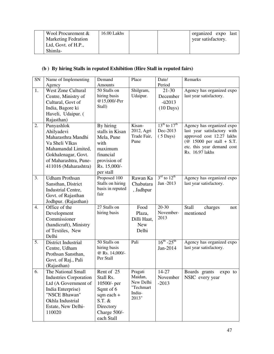| Wool Procurement &         | $16.00$ Lakhs |  | organized expo last |  |
|----------------------------|---------------|--|---------------------|--|
| <b>Marketing Fedration</b> |               |  | year satisfactory.  |  |
| Ltd, Govt. of H.P.,        |               |  |                     |  |
| Shimla-                    |               |  |                     |  |

### **(b ) By hiring Stalls in reputed Exhibition (Hire Stall in reputed fairs)**

| SN<br>Name of Implementing<br>Remarks<br>Demand<br>Place<br>Date/<br>Period<br>Amounts<br>Agency<br>1.<br>West Zone Cultural<br>$\overline{50}$ Stalls on<br>Shilgram,<br>$21 - 30$<br>Agency has organized expo<br>Udaipur.<br>last year satisfactory.<br>hiring basis<br>Centre, Ministry of<br>December<br>@15,000/-Per<br>Cultural, Govt of<br>$-ii2013$<br>Stall)<br>India, Bagore ki<br>$(10 \text{ Days})$<br>Haveli, Udaipur. (<br>Rajasthan)<br>$13^{th}$ to $17^{th}$<br>By hiring<br>2.<br>Punyashlok<br>Kisan-<br>Agency has organized expo<br>2012, Agri<br>Dec-2013<br>last year satisfactory with<br>stalls in Kisan<br>Ahilyadevi<br>approved cost 12.27 lakhs<br>Trade Fair,<br>$(5 \text{ Days})$<br>Maharasthra Mandhi<br>Mela, Pune<br>Pune<br>( $@$ 15000 per stall + S.T.<br>Va Sheli VIkas<br>with<br>etc. this year demand cost<br>maximum<br>Mahamandal Limited,<br>Rs. 16.97 lakhs<br>financial<br>Gokhalenagar, Govt.<br>of Maharashtra, Pune-<br>provision of<br>411016 (Maharashtra)<br>Rs. 15,000/-<br>per stall<br>$3^{\text{rd}}$ to $12^{\text{th}}$<br>3.<br>Proposed 100<br>Rawan Ka<br><b>Udham Prothsan</b><br>Agency has organized expo<br>Stalls on hiring<br>Jan -2013<br>last year satisfactory.<br>Sansthan, District<br>Chabutara<br>basis in reputed<br>Industrial Centre,<br>, Jadhpur<br>fair<br>Govt. of Rajasthan<br>Jodhpur. (Rajasthan)<br>27 Stalls on<br>$\overline{20-30}$<br>Office of the<br>4.<br>Food<br>Stall<br>charges<br>not<br>November-<br>hiring basis<br>mentioned<br>Development<br>Plaza,<br>2013<br>Commissioner<br>Dilli Haat,<br>(handicraft), Ministry<br><b>New</b><br>of Textiles, New<br>Delhi<br>Delhi<br>$16^{th} - 25^{th}$<br>5.<br>50 Stalls on<br>Pali<br>Agency has organized expo<br>District Industrial<br>hiring basis<br>last year satisfactory.<br>Jan-2014<br>Centre, Udham<br>@ Rs. 14,000/-<br>Prothsan Sansthan,<br>Per Stall<br>Govt. of Raj., Pali<br>(Rajasthan)<br>6.<br>The National Small<br>Rent of 25<br>Pragati<br>14-27<br>Boards grants<br>expo to<br>Maidan,<br>Stall Rs.<br>Industries Corporation<br>November<br>NSIC every year<br>New Delhi<br>$-2013$<br>Ltd (A Government of<br>10500/- per<br>"Techmart<br>India Enterprise)<br>Sqmt of 6<br>India-<br>"NSCE Bhawan"<br>sqm each +<br>2013"<br>$S.T.$ &<br>Okhla Industrial<br>Estate, New Delhi-<br>Directory |  |  |  |
|-----------------------------------------------------------------------------------------------------------------------------------------------------------------------------------------------------------------------------------------------------------------------------------------------------------------------------------------------------------------------------------------------------------------------------------------------------------------------------------------------------------------------------------------------------------------------------------------------------------------------------------------------------------------------------------------------------------------------------------------------------------------------------------------------------------------------------------------------------------------------------------------------------------------------------------------------------------------------------------------------------------------------------------------------------------------------------------------------------------------------------------------------------------------------------------------------------------------------------------------------------------------------------------------------------------------------------------------------------------------------------------------------------------------------------------------------------------------------------------------------------------------------------------------------------------------------------------------------------------------------------------------------------------------------------------------------------------------------------------------------------------------------------------------------------------------------------------------------------------------------------------------------------------------------------------------------------------------------------------------------------------------------------------------------------------------------------------------------------------------------------------------------------------------------------------------------------------------------------------------------------------------------------------------------------------------------------------------------------------------------------|--|--|--|
|                                                                                                                                                                                                                                                                                                                                                                                                                                                                                                                                                                                                                                                                                                                                                                                                                                                                                                                                                                                                                                                                                                                                                                                                                                                                                                                                                                                                                                                                                                                                                                                                                                                                                                                                                                                                                                                                                                                                                                                                                                                                                                                                                                                                                                                                                                                                                                             |  |  |  |
|                                                                                                                                                                                                                                                                                                                                                                                                                                                                                                                                                                                                                                                                                                                                                                                                                                                                                                                                                                                                                                                                                                                                                                                                                                                                                                                                                                                                                                                                                                                                                                                                                                                                                                                                                                                                                                                                                                                                                                                                                                                                                                                                                                                                                                                                                                                                                                             |  |  |  |
|                                                                                                                                                                                                                                                                                                                                                                                                                                                                                                                                                                                                                                                                                                                                                                                                                                                                                                                                                                                                                                                                                                                                                                                                                                                                                                                                                                                                                                                                                                                                                                                                                                                                                                                                                                                                                                                                                                                                                                                                                                                                                                                                                                                                                                                                                                                                                                             |  |  |  |
|                                                                                                                                                                                                                                                                                                                                                                                                                                                                                                                                                                                                                                                                                                                                                                                                                                                                                                                                                                                                                                                                                                                                                                                                                                                                                                                                                                                                                                                                                                                                                                                                                                                                                                                                                                                                                                                                                                                                                                                                                                                                                                                                                                                                                                                                                                                                                                             |  |  |  |
|                                                                                                                                                                                                                                                                                                                                                                                                                                                                                                                                                                                                                                                                                                                                                                                                                                                                                                                                                                                                                                                                                                                                                                                                                                                                                                                                                                                                                                                                                                                                                                                                                                                                                                                                                                                                                                                                                                                                                                                                                                                                                                                                                                                                                                                                                                                                                                             |  |  |  |
|                                                                                                                                                                                                                                                                                                                                                                                                                                                                                                                                                                                                                                                                                                                                                                                                                                                                                                                                                                                                                                                                                                                                                                                                                                                                                                                                                                                                                                                                                                                                                                                                                                                                                                                                                                                                                                                                                                                                                                                                                                                                                                                                                                                                                                                                                                                                                                             |  |  |  |
|                                                                                                                                                                                                                                                                                                                                                                                                                                                                                                                                                                                                                                                                                                                                                                                                                                                                                                                                                                                                                                                                                                                                                                                                                                                                                                                                                                                                                                                                                                                                                                                                                                                                                                                                                                                                                                                                                                                                                                                                                                                                                                                                                                                                                                                                                                                                                                             |  |  |  |
|                                                                                                                                                                                                                                                                                                                                                                                                                                                                                                                                                                                                                                                                                                                                                                                                                                                                                                                                                                                                                                                                                                                                                                                                                                                                                                                                                                                                                                                                                                                                                                                                                                                                                                                                                                                                                                                                                                                                                                                                                                                                                                                                                                                                                                                                                                                                                                             |  |  |  |
|                                                                                                                                                                                                                                                                                                                                                                                                                                                                                                                                                                                                                                                                                                                                                                                                                                                                                                                                                                                                                                                                                                                                                                                                                                                                                                                                                                                                                                                                                                                                                                                                                                                                                                                                                                                                                                                                                                                                                                                                                                                                                                                                                                                                                                                                                                                                                                             |  |  |  |
|                                                                                                                                                                                                                                                                                                                                                                                                                                                                                                                                                                                                                                                                                                                                                                                                                                                                                                                                                                                                                                                                                                                                                                                                                                                                                                                                                                                                                                                                                                                                                                                                                                                                                                                                                                                                                                                                                                                                                                                                                                                                                                                                                                                                                                                                                                                                                                             |  |  |  |
|                                                                                                                                                                                                                                                                                                                                                                                                                                                                                                                                                                                                                                                                                                                                                                                                                                                                                                                                                                                                                                                                                                                                                                                                                                                                                                                                                                                                                                                                                                                                                                                                                                                                                                                                                                                                                                                                                                                                                                                                                                                                                                                                                                                                                                                                                                                                                                             |  |  |  |
|                                                                                                                                                                                                                                                                                                                                                                                                                                                                                                                                                                                                                                                                                                                                                                                                                                                                                                                                                                                                                                                                                                                                                                                                                                                                                                                                                                                                                                                                                                                                                                                                                                                                                                                                                                                                                                                                                                                                                                                                                                                                                                                                                                                                                                                                                                                                                                             |  |  |  |
|                                                                                                                                                                                                                                                                                                                                                                                                                                                                                                                                                                                                                                                                                                                                                                                                                                                                                                                                                                                                                                                                                                                                                                                                                                                                                                                                                                                                                                                                                                                                                                                                                                                                                                                                                                                                                                                                                                                                                                                                                                                                                                                                                                                                                                                                                                                                                                             |  |  |  |
|                                                                                                                                                                                                                                                                                                                                                                                                                                                                                                                                                                                                                                                                                                                                                                                                                                                                                                                                                                                                                                                                                                                                                                                                                                                                                                                                                                                                                                                                                                                                                                                                                                                                                                                                                                                                                                                                                                                                                                                                                                                                                                                                                                                                                                                                                                                                                                             |  |  |  |
|                                                                                                                                                                                                                                                                                                                                                                                                                                                                                                                                                                                                                                                                                                                                                                                                                                                                                                                                                                                                                                                                                                                                                                                                                                                                                                                                                                                                                                                                                                                                                                                                                                                                                                                                                                                                                                                                                                                                                                                                                                                                                                                                                                                                                                                                                                                                                                             |  |  |  |
|                                                                                                                                                                                                                                                                                                                                                                                                                                                                                                                                                                                                                                                                                                                                                                                                                                                                                                                                                                                                                                                                                                                                                                                                                                                                                                                                                                                                                                                                                                                                                                                                                                                                                                                                                                                                                                                                                                                                                                                                                                                                                                                                                                                                                                                                                                                                                                             |  |  |  |
|                                                                                                                                                                                                                                                                                                                                                                                                                                                                                                                                                                                                                                                                                                                                                                                                                                                                                                                                                                                                                                                                                                                                                                                                                                                                                                                                                                                                                                                                                                                                                                                                                                                                                                                                                                                                                                                                                                                                                                                                                                                                                                                                                                                                                                                                                                                                                                             |  |  |  |
|                                                                                                                                                                                                                                                                                                                                                                                                                                                                                                                                                                                                                                                                                                                                                                                                                                                                                                                                                                                                                                                                                                                                                                                                                                                                                                                                                                                                                                                                                                                                                                                                                                                                                                                                                                                                                                                                                                                                                                                                                                                                                                                                                                                                                                                                                                                                                                             |  |  |  |
|                                                                                                                                                                                                                                                                                                                                                                                                                                                                                                                                                                                                                                                                                                                                                                                                                                                                                                                                                                                                                                                                                                                                                                                                                                                                                                                                                                                                                                                                                                                                                                                                                                                                                                                                                                                                                                                                                                                                                                                                                                                                                                                                                                                                                                                                                                                                                                             |  |  |  |
|                                                                                                                                                                                                                                                                                                                                                                                                                                                                                                                                                                                                                                                                                                                                                                                                                                                                                                                                                                                                                                                                                                                                                                                                                                                                                                                                                                                                                                                                                                                                                                                                                                                                                                                                                                                                                                                                                                                                                                                                                                                                                                                                                                                                                                                                                                                                                                             |  |  |  |
|                                                                                                                                                                                                                                                                                                                                                                                                                                                                                                                                                                                                                                                                                                                                                                                                                                                                                                                                                                                                                                                                                                                                                                                                                                                                                                                                                                                                                                                                                                                                                                                                                                                                                                                                                                                                                                                                                                                                                                                                                                                                                                                                                                                                                                                                                                                                                                             |  |  |  |
|                                                                                                                                                                                                                                                                                                                                                                                                                                                                                                                                                                                                                                                                                                                                                                                                                                                                                                                                                                                                                                                                                                                                                                                                                                                                                                                                                                                                                                                                                                                                                                                                                                                                                                                                                                                                                                                                                                                                                                                                                                                                                                                                                                                                                                                                                                                                                                             |  |  |  |
|                                                                                                                                                                                                                                                                                                                                                                                                                                                                                                                                                                                                                                                                                                                                                                                                                                                                                                                                                                                                                                                                                                                                                                                                                                                                                                                                                                                                                                                                                                                                                                                                                                                                                                                                                                                                                                                                                                                                                                                                                                                                                                                                                                                                                                                                                                                                                                             |  |  |  |
|                                                                                                                                                                                                                                                                                                                                                                                                                                                                                                                                                                                                                                                                                                                                                                                                                                                                                                                                                                                                                                                                                                                                                                                                                                                                                                                                                                                                                                                                                                                                                                                                                                                                                                                                                                                                                                                                                                                                                                                                                                                                                                                                                                                                                                                                                                                                                                             |  |  |  |
|                                                                                                                                                                                                                                                                                                                                                                                                                                                                                                                                                                                                                                                                                                                                                                                                                                                                                                                                                                                                                                                                                                                                                                                                                                                                                                                                                                                                                                                                                                                                                                                                                                                                                                                                                                                                                                                                                                                                                                                                                                                                                                                                                                                                                                                                                                                                                                             |  |  |  |
|                                                                                                                                                                                                                                                                                                                                                                                                                                                                                                                                                                                                                                                                                                                                                                                                                                                                                                                                                                                                                                                                                                                                                                                                                                                                                                                                                                                                                                                                                                                                                                                                                                                                                                                                                                                                                                                                                                                                                                                                                                                                                                                                                                                                                                                                                                                                                                             |  |  |  |
|                                                                                                                                                                                                                                                                                                                                                                                                                                                                                                                                                                                                                                                                                                                                                                                                                                                                                                                                                                                                                                                                                                                                                                                                                                                                                                                                                                                                                                                                                                                                                                                                                                                                                                                                                                                                                                                                                                                                                                                                                                                                                                                                                                                                                                                                                                                                                                             |  |  |  |
|                                                                                                                                                                                                                                                                                                                                                                                                                                                                                                                                                                                                                                                                                                                                                                                                                                                                                                                                                                                                                                                                                                                                                                                                                                                                                                                                                                                                                                                                                                                                                                                                                                                                                                                                                                                                                                                                                                                                                                                                                                                                                                                                                                                                                                                                                                                                                                             |  |  |  |
|                                                                                                                                                                                                                                                                                                                                                                                                                                                                                                                                                                                                                                                                                                                                                                                                                                                                                                                                                                                                                                                                                                                                                                                                                                                                                                                                                                                                                                                                                                                                                                                                                                                                                                                                                                                                                                                                                                                                                                                                                                                                                                                                                                                                                                                                                                                                                                             |  |  |  |
|                                                                                                                                                                                                                                                                                                                                                                                                                                                                                                                                                                                                                                                                                                                                                                                                                                                                                                                                                                                                                                                                                                                                                                                                                                                                                                                                                                                                                                                                                                                                                                                                                                                                                                                                                                                                                                                                                                                                                                                                                                                                                                                                                                                                                                                                                                                                                                             |  |  |  |
|                                                                                                                                                                                                                                                                                                                                                                                                                                                                                                                                                                                                                                                                                                                                                                                                                                                                                                                                                                                                                                                                                                                                                                                                                                                                                                                                                                                                                                                                                                                                                                                                                                                                                                                                                                                                                                                                                                                                                                                                                                                                                                                                                                                                                                                                                                                                                                             |  |  |  |
|                                                                                                                                                                                                                                                                                                                                                                                                                                                                                                                                                                                                                                                                                                                                                                                                                                                                                                                                                                                                                                                                                                                                                                                                                                                                                                                                                                                                                                                                                                                                                                                                                                                                                                                                                                                                                                                                                                                                                                                                                                                                                                                                                                                                                                                                                                                                                                             |  |  |  |
|                                                                                                                                                                                                                                                                                                                                                                                                                                                                                                                                                                                                                                                                                                                                                                                                                                                                                                                                                                                                                                                                                                                                                                                                                                                                                                                                                                                                                                                                                                                                                                                                                                                                                                                                                                                                                                                                                                                                                                                                                                                                                                                                                                                                                                                                                                                                                                             |  |  |  |
|                                                                                                                                                                                                                                                                                                                                                                                                                                                                                                                                                                                                                                                                                                                                                                                                                                                                                                                                                                                                                                                                                                                                                                                                                                                                                                                                                                                                                                                                                                                                                                                                                                                                                                                                                                                                                                                                                                                                                                                                                                                                                                                                                                                                                                                                                                                                                                             |  |  |  |
|                                                                                                                                                                                                                                                                                                                                                                                                                                                                                                                                                                                                                                                                                                                                                                                                                                                                                                                                                                                                                                                                                                                                                                                                                                                                                                                                                                                                                                                                                                                                                                                                                                                                                                                                                                                                                                                                                                                                                                                                                                                                                                                                                                                                                                                                                                                                                                             |  |  |  |
|                                                                                                                                                                                                                                                                                                                                                                                                                                                                                                                                                                                                                                                                                                                                                                                                                                                                                                                                                                                                                                                                                                                                                                                                                                                                                                                                                                                                                                                                                                                                                                                                                                                                                                                                                                                                                                                                                                                                                                                                                                                                                                                                                                                                                                                                                                                                                                             |  |  |  |
|                                                                                                                                                                                                                                                                                                                                                                                                                                                                                                                                                                                                                                                                                                                                                                                                                                                                                                                                                                                                                                                                                                                                                                                                                                                                                                                                                                                                                                                                                                                                                                                                                                                                                                                                                                                                                                                                                                                                                                                                                                                                                                                                                                                                                                                                                                                                                                             |  |  |  |
|                                                                                                                                                                                                                                                                                                                                                                                                                                                                                                                                                                                                                                                                                                                                                                                                                                                                                                                                                                                                                                                                                                                                                                                                                                                                                                                                                                                                                                                                                                                                                                                                                                                                                                                                                                                                                                                                                                                                                                                                                                                                                                                                                                                                                                                                                                                                                                             |  |  |  |
|                                                                                                                                                                                                                                                                                                                                                                                                                                                                                                                                                                                                                                                                                                                                                                                                                                                                                                                                                                                                                                                                                                                                                                                                                                                                                                                                                                                                                                                                                                                                                                                                                                                                                                                                                                                                                                                                                                                                                                                                                                                                                                                                                                                                                                                                                                                                                                             |  |  |  |
|                                                                                                                                                                                                                                                                                                                                                                                                                                                                                                                                                                                                                                                                                                                                                                                                                                                                                                                                                                                                                                                                                                                                                                                                                                                                                                                                                                                                                                                                                                                                                                                                                                                                                                                                                                                                                                                                                                                                                                                                                                                                                                                                                                                                                                                                                                                                                                             |  |  |  |
| Charge 500/-<br>110020                                                                                                                                                                                                                                                                                                                                                                                                                                                                                                                                                                                                                                                                                                                                                                                                                                                                                                                                                                                                                                                                                                                                                                                                                                                                                                                                                                                                                                                                                                                                                                                                                                                                                                                                                                                                                                                                                                                                                                                                                                                                                                                                                                                                                                                                                                                                                      |  |  |  |
| each Stall                                                                                                                                                                                                                                                                                                                                                                                                                                                                                                                                                                                                                                                                                                                                                                                                                                                                                                                                                                                                                                                                                                                                                                                                                                                                                                                                                                                                                                                                                                                                                                                                                                                                                                                                                                                                                                                                                                                                                                                                                                                                                                                                                                                                                                                                                                                                                                  |  |  |  |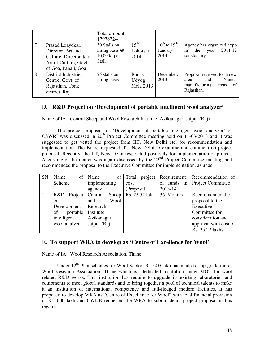|    |                                                                                                            | Total amount<br>1797872/-                                           |                                           |                                            |                                                                                                  |
|----|------------------------------------------------------------------------------------------------------------|---------------------------------------------------------------------|-------------------------------------------|--------------------------------------------|--------------------------------------------------------------------------------------------------|
| 7. | Prasad Loayokar,<br>Director, Art and<br>Culture, Directorate of<br>Art of Culture, Govt.                  | 50 Stalls on<br>hiring basis $@$<br>$10,000/$ - per<br><b>Stall</b> | $15^{\text{th}}$<br>Lokotsav-<br>2014     | $10^{th}$ to $19^{th}$<br>January-<br>2014 | Agency has organized expo<br>in<br>$2011 - 12$<br>the<br>year<br>satisfactory.                   |
| 8  | of Goa, Panaji, Goa<br><b>District Industries</b><br>Centre, Govt. of<br>Rajasthan, Tonk<br>district, Raj. | 25 stalls on<br>hiring basis                                        | <b>Banas</b><br>Udyog<br><b>Mela 2013</b> | December,<br>2013                          | Proposal received form new<br>Namda<br>and<br>area<br>manufacturing<br>of<br>areas<br>Rajasthan. |

#### **D. R&D Project on 'Development of portable intelligent wool analyzer'**

Name of IA : Central Sheep and Wool Research Institute, Avikanagar, Jaipur (Raj)

 The project proposal for 'Development of portable intelligent wool analyzer' of CSWRI was discussed in  $20<sup>th</sup>$  Project Committee meeting held on 11-03-2013 and it was suggested to get vetted the project from IIT, New Delhi etc. for recommendation and implementation. The Board requested IIT, New Delhi to examine and comment on project proposal. Recently, the IIT, New Delhi responded positively for implementation of project. Accordingly, the matter was again discussed by the 22<sup>nd</sup> Project Committee meeting and recommended the proposal to the Executive Committee for implementation, as under :

| <b>SN</b> | Name          |                       | of Name      | of    | Total      | project        | Requirement | Recommendation of     |
|-----------|---------------|-----------------------|--------------|-------|------------|----------------|-------------|-----------------------|
|           | Scheme        |                       | implementing |       | cost       |                | of funds in | Project Committee     |
|           |               |                       | agency       |       | (Proposal) |                | 2013-14     |                       |
| $\vert$ 1 |               | R&D Project   Central |              | Sheep |            | Rs. 25.52 lakh | 36 Months   | Recommended the       |
|           | <sub>on</sub> |                       | and          | Wool  |            |                |             | proposal to the       |
|           | Development   |                       | Research     |       |            |                |             | Executive             |
|           | of            | portable              | Institute,   |       |            |                |             | Committee for         |
|           | intelligent   |                       | Avikanagar,  |       |            |                |             | consideration and     |
|           |               | wool analyzer         | Jaipur (Raj) |       |            |                |             | approval with cost of |
|           |               |                       |              |       |            |                |             | Rs. 25.22 lakhs.      |

#### **E. To support WRA to develop as 'Centre of Excellence for Wool'**

Name of IA : Wool Research Association, Thane

Under  $12<sup>th</sup>$  Plan schemes for Wool Sector, Rs. 600 lakh has made for up-gradation of Wool Research Association, Thane which is dedicated institution under MOT for wool related R&D works. This institution has require to upgrade its existing laboratories and equipments to meet global standards and to bring together a pool of technical talents to make it an institution of international competence and full-fledged modern facilities. It has proposed to develop WRA as "Centre of Excellence for Wool" with total financial provision of Rs. 600 lakh and CWDB requested the WRA to submit detail project proposal in this regard.